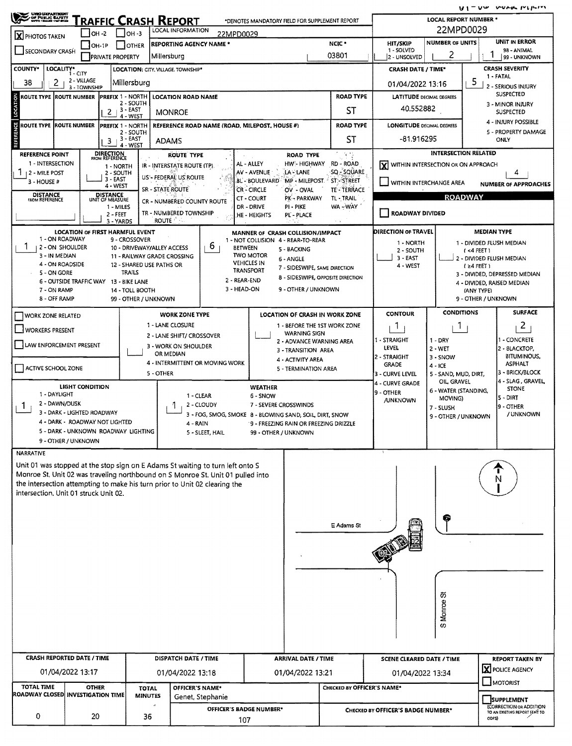$U1 = UW$  vura report

| <b>UNIO LUPANTRODIT</b><br>A OF PUBLIC BAPETY<br>WAYS HANGE HATERS | <b>RAFFIC CRASH REPORT</b>             | υ,<br>LOCAL REPORT NUMBER *                   |                                                                                                                                                                   |                                                                                  |                                                 |                             |                                                          |                                                                            |                                        |  |  |  |
|--------------------------------------------------------------------|----------------------------------------|-----------------------------------------------|-------------------------------------------------------------------------------------------------------------------------------------------------------------------|----------------------------------------------------------------------------------|-------------------------------------------------|-----------------------------|----------------------------------------------------------|----------------------------------------------------------------------------|----------------------------------------|--|--|--|
| X PHOTOS TAKEN                                                     | $IOH - 2$                              | <b>LOCAL INFORMATION</b><br>$J$ OH -3         |                                                                                                                                                                   | 22MPD0029<br><b>UNIT IN ERROR</b><br><b>NUMBER OF UNITS</b>                      |                                                 |                             |                                                          |                                                                            |                                        |  |  |  |
| SECONDARY CRASH                                                    | <b>OTHER</b><br>$IOH-1P$               | <b>REPORTING AGENCY NAME *</b>                |                                                                                                                                                                   | NCIC *                                                                           | <b>HIT/SKIP</b><br>1 - SOLVED                   |                             | 98 - ANIMAL                                              |                                                                            |                                        |  |  |  |
|                                                                    | <b>PRIVATE PROPERTY</b>                | Millersburg                                   | 03801                                                                                                                                                             | 2 - UNSOLVED                                                                     | 2                                               | 99 - UNKNOWN                |                                                          |                                                                            |                                        |  |  |  |
| <b>COUNTY*</b><br>LOCALITY* CITY                                   |                                        | <b>LOCATION: CITY. VILLAGE. TOWNSHIP*</b>     | <b>CRASH SEVERITY</b><br><b>CRASH DATE / TIME*</b><br>1 - FATAL                                                                                                   |                                                                                  |                                                 |                             |                                                          |                                                                            |                                        |  |  |  |
| 38<br>$\mathbf{2}$                                                 | 2 VILLAGE<br>3 - TOWNSHIP              | Millersburg                                   | 5<br>01/04/2022 13:16<br>2 - SERIOUS INJURY                                                                                                                       |                                                                                  |                                                 |                             |                                                          |                                                                            |                                        |  |  |  |
| ROUTE TYPE ROUTE NUMBER                                            | <b>PREFIX 1 - NORTH</b>                | <b>LOCATION ROAD NAME</b><br>2 - SOUTH        | <b>SUSPECTED</b><br><b>LATITUDE DECIMAL DEGREES</b><br>3 - MINOR INJURY                                                                                           |                                                                                  |                                                 |                             |                                                          |                                                                            |                                        |  |  |  |
|                                                                    | $\overline{2}$                         | $13 - EAST$<br><b>MONROE</b><br>4 - WEST      | 40.552882<br><b>SUSPECTED</b>                                                                                                                                     |                                                                                  |                                                 |                             |                                                          |                                                                            |                                        |  |  |  |
| ROUTE TYPE ROUTE NUMBER                                            | <b>PREFIX 1 - NORTH</b>                | REFERENCE ROAD NAME (ROAD, MILEPOST, HOUSE #) | <b>ROAD TYPE</b>                                                                                                                                                  | 4 - INJURY POSSIBLE<br><b>LONGITUDE DECIMAL DEGREES</b>                          |                                                 |                             |                                                          |                                                                            |                                        |  |  |  |
|                                                                    |                                        | 2 - SOUTH<br>$13 - EAST$                      | <b>ST</b>                                                                                                                                                         | -81.916295                                                                       |                                                 | 5 - PROPERTY DAMAGE<br>ONLY |                                                          |                                                                            |                                        |  |  |  |
|                                                                    | 3                                      | <b>ADAMS</b><br>4 - WEST                      |                                                                                                                                                                   |                                                                                  |                                                 |                             |                                                          |                                                                            |                                        |  |  |  |
| <b>REFERENCE POINT</b><br>1 - INTERSECTION                         | <b>DIRECTION</b><br>FROM REFERENCE     | <b>ROUTE TYPE</b>                             | -9 TS<br>HW'- HIGHWAY RD - ROAD                                                                                                                                   |                                                                                  |                                                 | <b>INTERSECTION RELATED</b> |                                                          |                                                                            |                                        |  |  |  |
| 1<br>12 - MILE POST                                                | 1 - NORTH<br>2 - SOUTH                 |                                               | IR - INTERSTATE ROUTE (TP).                                                                                                                                       | AL - ALLEY<br>AV - AVENUE                                                        | LA-LANE                                         | SQ - SQUARE                 | X WITHIN INTERSECTION OR ON APPROACH<br>4                |                                                                            |                                        |  |  |  |
| 3 - HOUSE #                                                        | 3 - EAST<br>4 - WEST                   |                                               | US'- FEDERAL US ROUTE                                                                                                                                             | <b>BL - BOULEVARD</b>                                                            | MP - MILEPOST. ST. STREET                       |                             | WITHIN INTERCHANGE AREA<br><b>NUMBER OF APPROACHES</b>   |                                                                            |                                        |  |  |  |
| <b>DISTANCE</b><br><b>FROM REFERENCE</b>                           | DISTANCE<br>UNIT OF MEASURE            | <b>SR - STATE ROUTE</b>                       |                                                                                                                                                                   | <b>CR-CIRCLE</b><br>CT - COURT                                                   | OV - OVAL<br>PK - PARKWAY                       | TE - TERRACE<br>TL - TRAIL  | <b>ROADWAY</b>                                           |                                                                            |                                        |  |  |  |
|                                                                    | 1 - MILES                              |                                               | CR - NUMBERED COUNTY ROUTE                                                                                                                                        | DR - DRIVE                                                                       | PI - PIKE                                       | WA - WAY                    | ROADWAY DIVIDED                                          |                                                                            |                                        |  |  |  |
|                                                                    | 2 - FEET<br>3 - YARDS                  | <b>ROUTE</b>                                  | TR - NUMBERED TOWNSHIP                                                                                                                                            | HE - HEIGHTS                                                                     | PL' - PLACE                                     |                             |                                                          |                                                                            |                                        |  |  |  |
|                                                                    | LOCATION OF FIRST HARMFUL EVENT        |                                               |                                                                                                                                                                   | MANNER OF CRASH COLLISION/IMPACT                                                 |                                                 |                             | DIRECTION OF TRAVEL                                      |                                                                            | <b>MEDIAN TYPE</b>                     |  |  |  |
| 1 - ON ROADWAY<br><b>12 - ON SHOULDER</b>                          |                                        | 9 - CROSSOVER<br>10 - DRIVEWAY/ALLEY ACCESS   | b                                                                                                                                                                 | 1 - NOT COLLISION 4 - REAR-TO-REAR<br><b>BETWEEN</b>                             |                                                 |                             | 1 - NORTH                                                |                                                                            | 1 - DIVIDED FLUSH MEDIAN               |  |  |  |
| 3 - IN MEDIAN                                                      |                                        | 11 - RAILWAY GRADE CROSSING                   |                                                                                                                                                                   | <b>TWO MOTOR</b>                                                                 | 5 - BACKING<br>6 - ANGLE                        |                             | 2 - SOUTH<br>$3 - EAST$                                  |                                                                            | $(4$ FEET)<br>2 - DIVIDED FLUSH MEDIAN |  |  |  |
| 4 - ON ROADSIDE                                                    |                                        | 12 - SHARED USE PATHS OR                      |                                                                                                                                                                   | <b>VEHICLES IN</b><br><b>TRANSPORT</b>                                           | 7 - SIDESWIPE, SAME DIRECTION                   |                             | 4 - WEST                                                 |                                                                            | $(24$ FEET)                            |  |  |  |
| 5 - ON GORE                                                        | 6 - OUTSIDE TRAFFIC WAY 13 - BIKE LANE | <b>TRAILS</b>                                 |                                                                                                                                                                   | 2 - REAR-END                                                                     | 8 - SIDESWIPE, OPPOSITE DIRECTION               |                             |                                                          |                                                                            | 3 - DIVIDED, DEPRESSED MEDIAN          |  |  |  |
| 7 - ON RAMP                                                        |                                        | 14 - TOLL BOOTH                               |                                                                                                                                                                   | 3 - HEAD-ON                                                                      | 9 - OTHER / UNKNOWN                             |                             |                                                          | 4 - DIVIDED, RAISED MEDIAN<br>(ANY TYPE)                                   |                                        |  |  |  |
| 8 - OFF RAMP                                                       |                                        | 99 - OTHER / UNKNOWN                          |                                                                                                                                                                   |                                                                                  |                                                 |                             |                                                          |                                                                            | 9 - OTHER / UNKNOWN                    |  |  |  |
| <b>WORK ZONE RELATED</b>                                           |                                        |                                               | <b>WORK ZONE TYPE</b>                                                                                                                                             |                                                                                  | LOCATION OF CRASH IN WORK ZONE                  |                             | <b>CONTOUR</b>                                           | <b>CONDITIONS</b>                                                          | <b>SURFACE</b>                         |  |  |  |
| WORKERS PRESENT                                                    |                                        |                                               | 1 - LANE CLOSURE                                                                                                                                                  |                                                                                  | 1 - BEFORE THE 1ST WORK ZONE                    |                             | $\overline{1}$                                           | $\mathbb{1}$                                                               | $\overline{c}$                         |  |  |  |
|                                                                    |                                        |                                               | 2 - LANE SHIFT/ CROSSOVER                                                                                                                                         |                                                                                  | <b>WARNING SIGN</b><br>2 - ADVANCE WARNING AREA |                             | 1 - STRAIGHT                                             | 1 - CONCRETE                                                               |                                        |  |  |  |
| <b>LAW ENFORCEMENT PRESENT</b>                                     |                                        |                                               | 3 - WORK ON SHOULDER<br>OR MEDIAN                                                                                                                                 |                                                                                  | 3 - TRANSITION AREA                             |                             | LEVEL                                                    | 2 - BLACKTOP,<br><b>BITUMINOUS,</b>                                        |                                        |  |  |  |
| ACTIVE SCHOOL ZONE                                                 |                                        |                                               | 4 - INTERMITTENT OR MOVING WORK                                                                                                                                   |                                                                                  | 4 - ACTIVITY AREA<br>5 - TERMINATION AREA       |                             | 2 - STRAIGHT<br><b>GRADE</b>                             | 3 - SNOW<br>$4 - ICE$                                                      | <b>ASPHALT</b>                         |  |  |  |
|                                                                    |                                        | 5 - OTHER                                     |                                                                                                                                                                   |                                                                                  |                                                 |                             | 3 - CURVE LEVEL                                          | 3 - BRICK/BLOCK<br>5 - SAND, MUD, DIRT,<br>4 - SLAG, GRAVEL<br>OIL, GRAVEL |                                        |  |  |  |
|                                                                    | <b>LIGHT CONDITION</b>                 |                                               |                                                                                                                                                                   | <b>WEATHER</b>                                                                   |                                                 |                             | 4 - CURVE GRADE<br>9 - OTHER                             | 6 - WATER (STANDING,                                                       | <b>STONE</b>                           |  |  |  |
| 1 - DAYLIGHT<br>2 - DAWN/DUSK                                      |                                        |                                               | 1 - CLEAR<br>2 - CLOUDY                                                                                                                                           | 6 - SNOW                                                                         |                                                 |                             | <b>/UNKNOWN</b>                                          | MOVING)                                                                    | 15 - DIRT                              |  |  |  |
| $\mathbf{1}$                                                       | 3 - DARK - LIGHTED ROADWAY             |                                               |                                                                                                                                                                   | 7 - SEVERE CROSSWINDS<br>3 - FOG, SMOG, SMOKE 8 - BLOWING SAND, SOIL, DIRT, SNOW |                                                 |                             | 9 OTHER<br>7 - SLUSH<br>/ UNKNOWN<br>9 - OTHER / UNKNOWN |                                                                            |                                        |  |  |  |
|                                                                    | 4 - DARK - ROADWAY NOT LIGHTED         |                                               | 4 - RAIN                                                                                                                                                          |                                                                                  | 9 - FREEZING RAIN OR FREEZING DRIZZLE           |                             |                                                          |                                                                            |                                        |  |  |  |
|                                                                    | 5 - DARK - UNKNOWN ROADWAY LIGHTING    |                                               | 5 - SLEET, HAIL                                                                                                                                                   | 99 - OTHER / UNKNOWN                                                             |                                                 |                             |                                                          |                                                                            |                                        |  |  |  |
| 9 - OTHER / UNKNOWN                                                |                                        |                                               |                                                                                                                                                                   |                                                                                  |                                                 |                             |                                                          |                                                                            |                                        |  |  |  |
| NARRATIVE                                                          |                                        |                                               |                                                                                                                                                                   |                                                                                  |                                                 |                             |                                                          |                                                                            |                                        |  |  |  |
|                                                                    |                                        |                                               | Unit 01 was stopped at the stop sign on E Adams St waiting to turn left onto S<br>Monroe St. Unit 02 was traveling northbound on S Monroe St. Unit 01 pulled into |                                                                                  |                                                 |                             |                                                          |                                                                            |                                        |  |  |  |
|                                                                    |                                        |                                               | the intersection attempting to make his turn prior to Unit 02 clearing the                                                                                        |                                                                                  |                                                 |                             |                                                          |                                                                            |                                        |  |  |  |
| intersection, Unit 01 struck Unit 02.                              |                                        |                                               |                                                                                                                                                                   |                                                                                  |                                                 |                             |                                                          |                                                                            |                                        |  |  |  |
|                                                                    |                                        |                                               |                                                                                                                                                                   |                                                                                  |                                                 |                             |                                                          |                                                                            |                                        |  |  |  |
|                                                                    |                                        |                                               |                                                                                                                                                                   |                                                                                  |                                                 | E Adams St                  |                                                          |                                                                            |                                        |  |  |  |
|                                                                    |                                        |                                               |                                                                                                                                                                   |                                                                                  |                                                 |                             |                                                          |                                                                            |                                        |  |  |  |
|                                                                    |                                        |                                               |                                                                                                                                                                   |                                                                                  |                                                 |                             |                                                          |                                                                            |                                        |  |  |  |
|                                                                    |                                        |                                               |                                                                                                                                                                   |                                                                                  |                                                 |                             |                                                          |                                                                            |                                        |  |  |  |
|                                                                    |                                        |                                               |                                                                                                                                                                   |                                                                                  |                                                 |                             |                                                          |                                                                            |                                        |  |  |  |
|                                                                    |                                        |                                               |                                                                                                                                                                   |                                                                                  |                                                 |                             |                                                          |                                                                            |                                        |  |  |  |
|                                                                    |                                        |                                               |                                                                                                                                                                   |                                                                                  |                                                 |                             |                                                          | あ                                                                          |                                        |  |  |  |
|                                                                    |                                        |                                               |                                                                                                                                                                   |                                                                                  |                                                 |                             |                                                          |                                                                            |                                        |  |  |  |
|                                                                    |                                        |                                               |                                                                                                                                                                   |                                                                                  |                                                 |                             |                                                          | Monroe:                                                                    |                                        |  |  |  |
|                                                                    |                                        |                                               |                                                                                                                                                                   |                                                                                  |                                                 |                             |                                                          | $\omega$                                                                   |                                        |  |  |  |
|                                                                    |                                        |                                               |                                                                                                                                                                   |                                                                                  |                                                 |                             |                                                          |                                                                            |                                        |  |  |  |
| <b>CRASH REPORTED DATE / TIME</b>                                  |                                        |                                               | DISPATCH DATE / TIME                                                                                                                                              |                                                                                  | <b>ARRIVAL DATE / TIME</b>                      |                             | <b>SCENE CLEARED DATE / TIME</b>                         |                                                                            | <b>REPORT TAKEN BY</b>                 |  |  |  |
|                                                                    |                                        |                                               |                                                                                                                                                                   |                                                                                  |                                                 |                             |                                                          | X POLICE AGENCY                                                            |                                        |  |  |  |
| 01/04/2022 13:17                                                   |                                        |                                               | 01/04/2022 13:18                                                                                                                                                  |                                                                                  | 01/04/2022 13:21                                |                             | 01/04/2022 13:34                                         |                                                                            | $\Box$ MOTORIST                        |  |  |  |
| <b>TOTAL TIME</b><br>ROADWAY CLOSED  INVESTIGATION TIME            | <b>OTHER</b>                           | <b>TOTAL</b><br><b>MINUTES</b>                | <b>OFFICER'S NAME*</b>                                                                                                                                            |                                                                                  |                                                 | CHECKED BY OFFICER'S NAME*  |                                                          |                                                                            |                                        |  |  |  |
|                                                                    |                                        | $\cdot$                                       | Genet, Stephanie                                                                                                                                                  |                                                                                  |                                                 |                             |                                                          |                                                                            | SUPPLEMENT<br>(CORRECTION OR ADDITION  |  |  |  |
| 0                                                                  | 20                                     | 36                                            |                                                                                                                                                                   | OFFICER'S BADGE NUMBER*<br>107                                                   |                                                 |                             | CHECKED BY OFFICER'S BADGE NUMBER*                       |                                                                            | TO AN EXISTING REPORT SENT TO<br>ODPS) |  |  |  |
|                                                                    |                                        |                                               |                                                                                                                                                                   |                                                                                  |                                                 |                             |                                                          |                                                                            |                                        |  |  |  |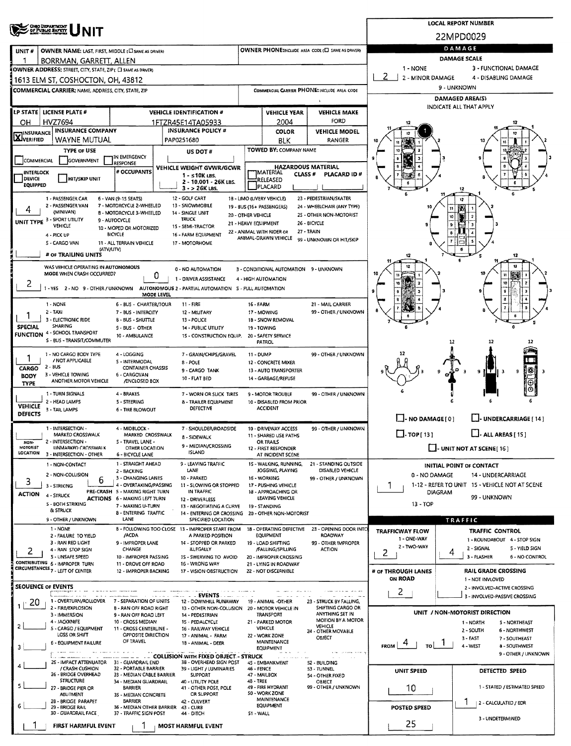| <b>ONG DEPARTMENT</b><br>OF PUBLIC BAPETY |                                                                    | <b>LOCAL REPORT NUMBER</b>                                                                                                                                                                                                                                                                                                                                                                                                                                                                                                                                                                                                                                                                                                                                                                                                                                                                                                                                                                                                                                                                                                                                                                                                                                                                                                                                                                                                                                                                                                                                                                                                                                                                                                                                                                                                                                                                                                                                                                                                                                                                                                                                                                                                                                                                                                                                                                                                                                                                                                                                                                                                                                                                                                                                                                                                                                                                                                                                                                                                                                                                                                                                                                                                                                                                                                                                                                                                                                                                                                                                                                                                                                                                                                                                                                                                                                                                                                                                                                                                                                                                                                                                                                                                                                                                                                                                                                                                                                                                                                                                                                                                                                                                                                                                                                                                                                                                                                                                                                                                                                                                                                                                                                                                                                                                                                                                                                                                                                                                                                                                                                                                                                                                                                                                                                                                                                                                                                                                                                                                                                                                                                                                                                                                                                                                                                                                                                                                                                                                                                                                                                                                                                                                                                                                                                                                                                                                                       |  |                   |       |                      |  |    |  |  |
|-------------------------------------------|--------------------------------------------------------------------|------------------------------------------------------------------------------------------------------------------------------------------------------------------------------------------------------------------------------------------------------------------------------------------------------------------------------------------------------------------------------------------------------------------------------------------------------------------------------------------------------------------------------------------------------------------------------------------------------------------------------------------------------------------------------------------------------------------------------------------------------------------------------------------------------------------------------------------------------------------------------------------------------------------------------------------------------------------------------------------------------------------------------------------------------------------------------------------------------------------------------------------------------------------------------------------------------------------------------------------------------------------------------------------------------------------------------------------------------------------------------------------------------------------------------------------------------------------------------------------------------------------------------------------------------------------------------------------------------------------------------------------------------------------------------------------------------------------------------------------------------------------------------------------------------------------------------------------------------------------------------------------------------------------------------------------------------------------------------------------------------------------------------------------------------------------------------------------------------------------------------------------------------------------------------------------------------------------------------------------------------------------------------------------------------------------------------------------------------------------------------------------------------------------------------------------------------------------------------------------------------------------------------------------------------------------------------------------------------------------------------------------------------------------------------------------------------------------------------------------------------------------------------------------------------------------------------------------------------------------------------------------------------------------------------------------------------------------------------------------------------------------------------------------------------------------------------------------------------------------------------------------------------------------------------------------------------------------------------------------------------------------------------------------------------------------------------------------------------------------------------------------------------------------------------------------------------------------------------------------------------------------------------------------------------------------------------------------------------------------------------------------------------------------------------------------------------------------------------------------------------------------------------------------------------------------------------------------------------------------------------------------------------------------------------------------------------------------------------------------------------------------------------------------------------------------------------------------------------------------------------------------------------------------------------------------------------------------------------------------------------------------------------------------------------------------------------------------------------------------------------------------------------------------------------------------------------------------------------------------------------------------------------------------------------------------------------------------------------------------------------------------------------------------------------------------------------------------------------------------------------------------------------------------------------------------------------------------------------------------------------------------------------------------------------------------------------------------------------------------------------------------------------------------------------------------------------------------------------------------------------------------------------------------------------------------------------------------------------------------------------------------------------------------------------------------------------------------------------------------------------------------------------------------------------------------------------------------------------------------------------------------------------------------------------------------------------------------------------------------------------------------------------------------------------------------------------------------------------------------------------------------------------------------------------------------------------------------------------------------------------------------------------------------------------------------------------------------------------------------------------------------------------------------------------------------------------------------------------------------------------------------------------------------------------------------------------------------------------------------------------------------------------------------------------------------------------------------------------------------------------------------------------------------------------------------------------------------------------------------------------------------------------------------------------------------------------------------------------------------------------------------------------------------------------------------------------------------------------------------------------------------------------------------------------------------------------------------------------------------------------------------------------------------|--|-------------------|-------|----------------------|--|----|--|--|
|                                           |                                                                    |                                                                                                                                                                                                                                                                                                                                                                                                                                                                                                                                                                                                                                                                                                                                                                                                                                                                                                                                                                                                                                                                                                                                                                                                                                                                                                                                                                                                                                                                                                                                                                                                                                                                                                                                                                                                                                                                                                                                                                                                                                                                                                                                                                                                                                                                                                                                                                                                                                                                                                                                                                                                                                                                                                                                                                                                                                                                                                                                                                                                                                                                                                                                                                                                                                                                                                                                                                                                                                                                                                                                                                                                                                                                                                                                                                                                                                                                                                                                                                                                                                                                                                                                                                                                                                                                                                                                                                                                                                                                                                                                                                                                                                                                                                                                                                                                                                                                                                                                                                                                                                                                                                                                                                                                                                                                                                                                                                                                                                                                                                                                                                                                                                                                                                                                                                                                                                                                                                                                                                                                                                                                                                                                                                                                                                                                                                                                                                                                                                                                                                                                                                                                                                                                                                                                                                                                                                                                                                                  |  |                   |       |                      |  |    |  |  |
| UNIT#                                     |                                                                    |                                                                                                                                                                                                                                                                                                                                                                                                                                                                                                                                                                                                                                                                                                                                                                                                                                                                                                                                                                                                                                                                                                                                                                                                                                                                                                                                                                                                                                                                                                                                                                                                                                                                                                                                                                                                                                                                                                                                                                                                                                                                                                                                                                                                                                                                                                                                                                                                                                                                                                                                                                                                                                                                                                                                                                                                                                                                                                                                                                                                                                                                                                                                                                                                                                                                                                                                                                                                                                                                                                                                                                                                                                                                                                                                                                                                                                                                                                                                                                                                                                                                                                                                                                                                                                                                                                                                                                                                                                                                                                                                                                                                                                                                                                                                                                                                                                                                                                                                                                                                                                                                                                                                                                                                                                                                                                                                                                                                                                                                                                                                                                                                                                                                                                                                                                                                                                                                                                                                                                                                                                                                                                                                                                                                                                                                                                                                                                                                                                                                                                                                                                                                                                                                                                                                                                                                                                                                                                                  |  | DAMAGE            |       |                      |  |    |  |  |
|                                           |                                                                    |                                                                                                                                                                                                                                                                                                                                                                                                                                                                                                                                                                                                                                                                                                                                                                                                                                                                                                                                                                                                                                                                                                                                                                                                                                                                                                                                                                                                                                                                                                                                                                                                                                                                                                                                                                                                                                                                                                                                                                                                                                                                                                                                                                                                                                                                                                                                                                                                                                                                                                                                                                                                                                                                                                                                                                                                                                                                                                                                                                                                                                                                                                                                                                                                                                                                                                                                                                                                                                                                                                                                                                                                                                                                                                                                                                                                                                                                                                                                                                                                                                                                                                                                                                                                                                                                                                                                                                                                                                                                                                                                                                                                                                                                                                                                                                                                                                                                                                                                                                                                                                                                                                                                                                                                                                                                                                                                                                                                                                                                                                                                                                                                                                                                                                                                                                                                                                                                                                                                                                                                                                                                                                                                                                                                                                                                                                                                                                                                                                                                                                                                                                                                                                                                                                                                                                                                                                                                                                                  |  |                   |       |                      |  |    |  |  |
|                                           |                                                                    |                                                                                                                                                                                                                                                                                                                                                                                                                                                                                                                                                                                                                                                                                                                                                                                                                                                                                                                                                                                                                                                                                                                                                                                                                                                                                                                                                                                                                                                                                                                                                                                                                                                                                                                                                                                                                                                                                                                                                                                                                                                                                                                                                                                                                                                                                                                                                                                                                                                                                                                                                                                                                                                                                                                                                                                                                                                                                                                                                                                                                                                                                                                                                                                                                                                                                                                                                                                                                                                                                                                                                                                                                                                                                                                                                                                                                                                                                                                                                                                                                                                                                                                                                                                                                                                                                                                                                                                                                                                                                                                                                                                                                                                                                                                                                                                                                                                                                                                                                                                                                                                                                                                                                                                                                                                                                                                                                                                                                                                                                                                                                                                                                                                                                                                                                                                                                                                                                                                                                                                                                                                                                                                                                                                                                                                                                                                                                                                                                                                                                                                                                                                                                                                                                                                                                                                                                                                                                                                  |  |                   |       |                      |  |    |  |  |
|                                           |                                                                    |                                                                                                                                                                                                                                                                                                                                                                                                                                                                                                                                                                                                                                                                                                                                                                                                                                                                                                                                                                                                                                                                                                                                                                                                                                                                                                                                                                                                                                                                                                                                                                                                                                                                                                                                                                                                                                                                                                                                                                                                                                                                                                                                                                                                                                                                                                                                                                                                                                                                                                                                                                                                                                                                                                                                                                                                                                                                                                                                                                                                                                                                                                                                                                                                                                                                                                                                                                                                                                                                                                                                                                                                                                                                                                                                                                                                                                                                                                                                                                                                                                                                                                                                                                                                                                                                                                                                                                                                                                                                                                                                                                                                                                                                                                                                                                                                                                                                                                                                                                                                                                                                                                                                                                                                                                                                                                                                                                                                                                                                                                                                                                                                                                                                                                                                                                                                                                                                                                                                                                                                                                                                                                                                                                                                                                                                                                                                                                                                                                                                                                                                                                                                                                                                                                                                                                                                                                                                                                                  |  |                   |       |                      |  |    |  |  |
|                                           |                                                                    |                                                                                                                                                                                                                                                                                                                                                                                                                                                                                                                                                                                                                                                                                                                                                                                                                                                                                                                                                                                                                                                                                                                                                                                                                                                                                                                                                                                                                                                                                                                                                                                                                                                                                                                                                                                                                                                                                                                                                                                                                                                                                                                                                                                                                                                                                                                                                                                                                                                                                                                                                                                                                                                                                                                                                                                                                                                                                                                                                                                                                                                                                                                                                                                                                                                                                                                                                                                                                                                                                                                                                                                                                                                                                                                                                                                                                                                                                                                                                                                                                                                                                                                                                                                                                                                                                                                                                                                                                                                                                                                                                                                                                                                                                                                                                                                                                                                                                                                                                                                                                                                                                                                                                                                                                                                                                                                                                                                                                                                                                                                                                                                                                                                                                                                                                                                                                                                                                                                                                                                                                                                                                                                                                                                                                                                                                                                                                                                                                                                                                                                                                                                                                                                                                                                                                                                                                                                                                                                  |  |                   |       |                      |  |    |  |  |
|                                           | LP STATE   LICENSE PLATE #                                         |                                                                                                                                                                                                                                                                                                                                                                                                                                                                                                                                                                                                                                                                                                                                                                                                                                                                                                                                                                                                                                                                                                                                                                                                                                                                                                                                                                                                                                                                                                                                                                                                                                                                                                                                                                                                                                                                                                                                                                                                                                                                                                                                                                                                                                                                                                                                                                                                                                                                                                                                                                                                                                                                                                                                                                                                                                                                                                                                                                                                                                                                                                                                                                                                                                                                                                                                                                                                                                                                                                                                                                                                                                                                                                                                                                                                                                                                                                                                                                                                                                                                                                                                                                                                                                                                                                                                                                                                                                                                                                                                                                                                                                                                                                                                                                                                                                                                                                                                                                                                                                                                                                                                                                                                                                                                                                                                                                                                                                                                                                                                                                                                                                                                                                                                                                                                                                                                                                                                                                                                                                                                                                                                                                                                                                                                                                                                                                                                                                                                                                                                                                                                                                                                                                                                                                                                                                                                                                                  |  |                   |       |                      |  |    |  |  |
| OН                                        | <b>HVZ7694</b>                                                     |                                                                                                                                                                                                                                                                                                                                                                                                                                                                                                                                                                                                                                                                                                                                                                                                                                                                                                                                                                                                                                                                                                                                                                                                                                                                                                                                                                                                                                                                                                                                                                                                                                                                                                                                                                                                                                                                                                                                                                                                                                                                                                                                                                                                                                                                                                                                                                                                                                                                                                                                                                                                                                                                                                                                                                                                                                                                                                                                                                                                                                                                                                                                                                                                                                                                                                                                                                                                                                                                                                                                                                                                                                                                                                                                                                                                                                                                                                                                                                                                                                                                                                                                                                                                                                                                                                                                                                                                                                                                                                                                                                                                                                                                                                                                                                                                                                                                                                                                                                                                                                                                                                                                                                                                                                                                                                                                                                                                                                                                                                                                                                                                                                                                                                                                                                                                                                                                                                                                                                                                                                                                                                                                                                                                                                                                                                                                                                                                                                                                                                                                                                                                                                                                                                                                                                                                                                                                                                                  |  |                   |       | FORD                 |  |    |  |  |
| INSURANCE                                 | <b>INSURANCE COMPANY</b>                                           |                                                                                                                                                                                                                                                                                                                                                                                                                                                                                                                                                                                                                                                                                                                                                                                                                                                                                                                                                                                                                                                                                                                                                                                                                                                                                                                                                                                                                                                                                                                                                                                                                                                                                                                                                                                                                                                                                                                                                                                                                                                                                                                                                                                                                                                                                                                                                                                                                                                                                                                                                                                                                                                                                                                                                                                                                                                                                                                                                                                                                                                                                                                                                                                                                                                                                                                                                                                                                                                                                                                                                                                                                                                                                                                                                                                                                                                                                                                                                                                                                                                                                                                                                                                                                                                                                                                                                                                                                                                                                                                                                                                                                                                                                                                                                                                                                                                                                                                                                                                                                                                                                                                                                                                                                                                                                                                                                                                                                                                                                                                                                                                                                                                                                                                                                                                                                                                                                                                                                                                                                                                                                                                                                                                                                                                                                                                                                                                                                                                                                                                                                                                                                                                                                                                                                                                                                                                                                                                  |  |                   | COLOR | <b>VEHICLE MODEL</b> |  |    |  |  |
| <b>X</b> VERIFIED                         | WAYNE MUTUAL                                                       |                                                                                                                                                                                                                                                                                                                                                                                                                                                                                                                                                                                                                                                                                                                                                                                                                                                                                                                                                                                                                                                                                                                                                                                                                                                                                                                                                                                                                                                                                                                                                                                                                                                                                                                                                                                                                                                                                                                                                                                                                                                                                                                                                                                                                                                                                                                                                                                                                                                                                                                                                                                                                                                                                                                                                                                                                                                                                                                                                                                                                                                                                                                                                                                                                                                                                                                                                                                                                                                                                                                                                                                                                                                                                                                                                                                                                                                                                                                                                                                                                                                                                                                                                                                                                                                                                                                                                                                                                                                                                                                                                                                                                                                                                                                                                                                                                                                                                                                                                                                                                                                                                                                                                                                                                                                                                                                                                                                                                                                                                                                                                                                                                                                                                                                                                                                                                                                                                                                                                                                                                                                                                                                                                                                                                                                                                                                                                                                                                                                                                                                                                                                                                                                                                                                                                                                                                                                                                                                  |  |                   | BLK   | RANGER               |  |    |  |  |
|                                           | <b>TYPE OF USE</b>                                                 |                                                                                                                                                                                                                                                                                                                                                                                                                                                                                                                                                                                                                                                                                                                                                                                                                                                                                                                                                                                                                                                                                                                                                                                                                                                                                                                                                                                                                                                                                                                                                                                                                                                                                                                                                                                                                                                                                                                                                                                                                                                                                                                                                                                                                                                                                                                                                                                                                                                                                                                                                                                                                                                                                                                                                                                                                                                                                                                                                                                                                                                                                                                                                                                                                                                                                                                                                                                                                                                                                                                                                                                                                                                                                                                                                                                                                                                                                                                                                                                                                                                                                                                                                                                                                                                                                                                                                                                                                                                                                                                                                                                                                                                                                                                                                                                                                                                                                                                                                                                                                                                                                                                                                                                                                                                                                                                                                                                                                                                                                                                                                                                                                                                                                                                                                                                                                                                                                                                                                                                                                                                                                                                                                                                                                                                                                                                                                                                                                                                                                                                                                                                                                                                                                                                                                                                                                                                                                                                  |  | US DOT #          |       |                      |  |    |  |  |
| COMMERCIAL                                |                                                                    | RESPONSE                                                                                                                                                                                                                                                                                                                                                                                                                                                                                                                                                                                                                                                                                                                                                                                                                                                                                                                                                                                                                                                                                                                                                                                                                                                                                                                                                                                                                                                                                                                                                                                                                                                                                                                                                                                                                                                                                                                                                                                                                                                                                                                                                                                                                                                                                                                                                                                                                                                                                                                                                                                                                                                                                                                                                                                                                                                                                                                                                                                                                                                                                                                                                                                                                                                                                                                                                                                                                                                                                                                                                                                                                                                                                                                                                                                                                                                                                                                                                                                                                                                                                                                                                                                                                                                                                                                                                                                                                                                                                                                                                                                                                                                                                                                                                                                                                                                                                                                                                                                                                                                                                                                                                                                                                                                                                                                                                                                                                                                                                                                                                                                                                                                                                                                                                                                                                                                                                                                                                                                                                                                                                                                                                                                                                                                                                                                                                                                                                                                                                                                                                                                                                                                                                                                                                                                                                                                                                                         |  |                   |       |                      |  |    |  |  |
| <b>INTERLOCK</b><br>DEVICE                | <b>HIT/SKIP UNIT</b>                                               |                                                                                                                                                                                                                                                                                                                                                                                                                                                                                                                                                                                                                                                                                                                                                                                                                                                                                                                                                                                                                                                                                                                                                                                                                                                                                                                                                                                                                                                                                                                                                                                                                                                                                                                                                                                                                                                                                                                                                                                                                                                                                                                                                                                                                                                                                                                                                                                                                                                                                                                                                                                                                                                                                                                                                                                                                                                                                                                                                                                                                                                                                                                                                                                                                                                                                                                                                                                                                                                                                                                                                                                                                                                                                                                                                                                                                                                                                                                                                                                                                                                                                                                                                                                                                                                                                                                                                                                                                                                                                                                                                                                                                                                                                                                                                                                                                                                                                                                                                                                                                                                                                                                                                                                                                                                                                                                                                                                                                                                                                                                                                                                                                                                                                                                                                                                                                                                                                                                                                                                                                                                                                                                                                                                                                                                                                                                                                                                                                                                                                                                                                                                                                                                                                                                                                                                                                                                                                                                  |  | $1 - 510K$ LBS.   |       | PLACARD ID#          |  |    |  |  |
| EQUIPPED                                  |                                                                    |                                                                                                                                                                                                                                                                                                                                                                                                                                                                                                                                                                                                                                                                                                                                                                                                                                                                                                                                                                                                                                                                                                                                                                                                                                                                                                                                                                                                                                                                                                                                                                                                                                                                                                                                                                                                                                                                                                                                                                                                                                                                                                                                                                                                                                                                                                                                                                                                                                                                                                                                                                                                                                                                                                                                                                                                                                                                                                                                                                                                                                                                                                                                                                                                                                                                                                                                                                                                                                                                                                                                                                                                                                                                                                                                                                                                                                                                                                                                                                                                                                                                                                                                                                                                                                                                                                                                                                                                                                                                                                                                                                                                                                                                                                                                                                                                                                                                                                                                                                                                                                                                                                                                                                                                                                                                                                                                                                                                                                                                                                                                                                                                                                                                                                                                                                                                                                                                                                                                                                                                                                                                                                                                                                                                                                                                                                                                                                                                                                                                                                                                                                                                                                                                                                                                                                                                                                                                                                                  |  | $3 - 26K$ LBS.    |       |                      |  | 12 |  |  |
|                                           | 1 - PASSENGER CAR<br>2 - PASSENGER VAN                             |                                                                                                                                                                                                                                                                                                                                                                                                                                                                                                                                                                                                                                                                                                                                                                                                                                                                                                                                                                                                                                                                                                                                                                                                                                                                                                                                                                                                                                                                                                                                                                                                                                                                                                                                                                                                                                                                                                                                                                                                                                                                                                                                                                                                                                                                                                                                                                                                                                                                                                                                                                                                                                                                                                                                                                                                                                                                                                                                                                                                                                                                                                                                                                                                                                                                                                                                                                                                                                                                                                                                                                                                                                                                                                                                                                                                                                                                                                                                                                                                                                                                                                                                                                                                                                                                                                                                                                                                                                                                                                                                                                                                                                                                                                                                                                                                                                                                                                                                                                                                                                                                                                                                                                                                                                                                                                                                                                                                                                                                                                                                                                                                                                                                                                                                                                                                                                                                                                                                                                                                                                                                                                                                                                                                                                                                                                                                                                                                                                                                                                                                                                                                                                                                                                                                                                                                                                                                                                                  |  |                   |       |                      |  | 12 |  |  |
| 4                                         | (MINIVAN)                                                          |                                                                                                                                                                                                                                                                                                                                                                                                                                                                                                                                                                                                                                                                                                                                                                                                                                                                                                                                                                                                                                                                                                                                                                                                                                                                                                                                                                                                                                                                                                                                                                                                                                                                                                                                                                                                                                                                                                                                                                                                                                                                                                                                                                                                                                                                                                                                                                                                                                                                                                                                                                                                                                                                                                                                                                                                                                                                                                                                                                                                                                                                                                                                                                                                                                                                                                                                                                                                                                                                                                                                                                                                                                                                                                                                                                                                                                                                                                                                                                                                                                                                                                                                                                                                                                                                                                                                                                                                                                                                                                                                                                                                                                                                                                                                                                                                                                                                                                                                                                                                                                                                                                                                                                                                                                                                                                                                                                                                                                                                                                                                                                                                                                                                                                                                                                                                                                                                                                                                                                                                                                                                                                                                                                                                                                                                                                                                                                                                                                                                                                                                                                                                                                                                                                                                                                                                                                                                                                                  |  |                   |       |                      |  |    |  |  |
|                                           | UNIT TYPE 3 - SPORT UTILITY<br>VEHICLE                             |                                                                                                                                                                                                                                                                                                                                                                                                                                                                                                                                                                                                                                                                                                                                                                                                                                                                                                                                                                                                                                                                                                                                                                                                                                                                                                                                                                                                                                                                                                                                                                                                                                                                                                                                                                                                                                                                                                                                                                                                                                                                                                                                                                                                                                                                                                                                                                                                                                                                                                                                                                                                                                                                                                                                                                                                                                                                                                                                                                                                                                                                                                                                                                                                                                                                                                                                                                                                                                                                                                                                                                                                                                                                                                                                                                                                                                                                                                                                                                                                                                                                                                                                                                                                                                                                                                                                                                                                                                                                                                                                                                                                                                                                                                                                                                                                                                                                                                                                                                                                                                                                                                                                                                                                                                                                                                                                                                                                                                                                                                                                                                                                                                                                                                                                                                                                                                                                                                                                                                                                                                                                                                                                                                                                                                                                                                                                                                                                                                                                                                                                                                                                                                                                                                                                                                                                                                                                                                                  |  |                   |       |                      |  |    |  |  |
|                                           | 4 - PICK UP                                                        |                                                                                                                                                                                                                                                                                                                                                                                                                                                                                                                                                                                                                                                                                                                                                                                                                                                                                                                                                                                                                                                                                                                                                                                                                                                                                                                                                                                                                                                                                                                                                                                                                                                                                                                                                                                                                                                                                                                                                                                                                                                                                                                                                                                                                                                                                                                                                                                                                                                                                                                                                                                                                                                                                                                                                                                                                                                                                                                                                                                                                                                                                                                                                                                                                                                                                                                                                                                                                                                                                                                                                                                                                                                                                                                                                                                                                                                                                                                                                                                                                                                                                                                                                                                                                                                                                                                                                                                                                                                                                                                                                                                                                                                                                                                                                                                                                                                                                                                                                                                                                                                                                                                                                                                                                                                                                                                                                                                                                                                                                                                                                                                                                                                                                                                                                                                                                                                                                                                                                                                                                                                                                                                                                                                                                                                                                                                                                                                                                                                                                                                                                                                                                                                                                                                                                                                                                                                                                                                  |  |                   |       |                      |  |    |  |  |
|                                           | 5 - CARGO VAN                                                      |                                                                                                                                                                                                                                                                                                                                                                                                                                                                                                                                                                                                                                                                                                                                                                                                                                                                                                                                                                                                                                                                                                                                                                                                                                                                                                                                                                                                                                                                                                                                                                                                                                                                                                                                                                                                                                                                                                                                                                                                                                                                                                                                                                                                                                                                                                                                                                                                                                                                                                                                                                                                                                                                                                                                                                                                                                                                                                                                                                                                                                                                                                                                                                                                                                                                                                                                                                                                                                                                                                                                                                                                                                                                                                                                                                                                                                                                                                                                                                                                                                                                                                                                                                                                                                                                                                                                                                                                                                                                                                                                                                                                                                                                                                                                                                                                                                                                                                                                                                                                                                                                                                                                                                                                                                                                                                                                                                                                                                                                                                                                                                                                                                                                                                                                                                                                                                                                                                                                                                                                                                                                                                                                                                                                                                                                                                                                                                                                                                                                                                                                                                                                                                                                                                                                                                                                                                                                                                                  |  |                   |       |                      |  |    |  |  |
|                                           |                                                                    |                                                                                                                                                                                                                                                                                                                                                                                                                                                                                                                                                                                                                                                                                                                                                                                                                                                                                                                                                                                                                                                                                                                                                                                                                                                                                                                                                                                                                                                                                                                                                                                                                                                                                                                                                                                                                                                                                                                                                                                                                                                                                                                                                                                                                                                                                                                                                                                                                                                                                                                                                                                                                                                                                                                                                                                                                                                                                                                                                                                                                                                                                                                                                                                                                                                                                                                                                                                                                                                                                                                                                                                                                                                                                                                                                                                                                                                                                                                                                                                                                                                                                                                                                                                                                                                                                                                                                                                                                                                                                                                                                                                                                                                                                                                                                                                                                                                                                                                                                                                                                                                                                                                                                                                                                                                                                                                                                                                                                                                                                                                                                                                                                                                                                                                                                                                                                                                                                                                                                                                                                                                                                                                                                                                                                                                                                                                                                                                                                                                                                                                                                                                                                                                                                                                                                                                                                                                                                                                  |  |                   |       |                      |  |    |  |  |
|                                           | MODE WHEN CRASH OCCURRED?                                          |                                                                                                                                                                                                                                                                                                                                                                                                                                                                                                                                                                                                                                                                                                                                                                                                                                                                                                                                                                                                                                                                                                                                                                                                                                                                                                                                                                                                                                                                                                                                                                                                                                                                                                                                                                                                                                                                                                                                                                                                                                                                                                                                                                                                                                                                                                                                                                                                                                                                                                                                                                                                                                                                                                                                                                                                                                                                                                                                                                                                                                                                                                                                                                                                                                                                                                                                                                                                                                                                                                                                                                                                                                                                                                                                                                                                                                                                                                                                                                                                                                                                                                                                                                                                                                                                                                                                                                                                                                                                                                                                                                                                                                                                                                                                                                                                                                                                                                                                                                                                                                                                                                                                                                                                                                                                                                                                                                                                                                                                                                                                                                                                                                                                                                                                                                                                                                                                                                                                                                                                                                                                                                                                                                                                                                                                                                                                                                                                                                                                                                                                                                                                                                                                                                                                                                                                                                                                                                                  |  | 0 - NO AUTOMATION |       |                      |  |    |  |  |
| 2                                         |                                                                    |                                                                                                                                                                                                                                                                                                                                                                                                                                                                                                                                                                                                                                                                                                                                                                                                                                                                                                                                                                                                                                                                                                                                                                                                                                                                                                                                                                                                                                                                                                                                                                                                                                                                                                                                                                                                                                                                                                                                                                                                                                                                                                                                                                                                                                                                                                                                                                                                                                                                                                                                                                                                                                                                                                                                                                                                                                                                                                                                                                                                                                                                                                                                                                                                                                                                                                                                                                                                                                                                                                                                                                                                                                                                                                                                                                                                                                                                                                                                                                                                                                                                                                                                                                                                                                                                                                                                                                                                                                                                                                                                                                                                                                                                                                                                                                                                                                                                                                                                                                                                                                                                                                                                                                                                                                                                                                                                                                                                                                                                                                                                                                                                                                                                                                                                                                                                                                                                                                                                                                                                                                                                                                                                                                                                                                                                                                                                                                                                                                                                                                                                                                                                                                                                                                                                                                                                                                                                                                                  |  |                   |       |                      |  |    |  |  |
|                                           |                                                                    | 22MPD0029<br>OWNER PHONE:INCLUDE AREA CODE (L) SAME AS DRIVERY<br>OWNER NAME: LAST, FIRST, MIDDLE (C) SAME AS DRIVER)<br>DAMAGE SCALE<br>BORRMAN, GARRETT, ALLEN<br>1 - NONE<br>3 - FUNCTIONAL DAMAGE<br>OWNER ADDRESS: STREET, CITY, STATE, ZIP ( CI SAME AS DRIVER)<br>2<br>2 - MINOR DAMAGE<br>4 - DISABLING DAMAGE<br>1613 ELM ST, COSHOCTON, OH, 43812<br>9 - UNKNOWN<br>COMMERCIAL CARRIER PHONE: INCLUDE AREA CODE<br>COMMERCIAL CARRIER; NAME, ADDRESS, CITY, STATE, ZIP<br><b>DAMAGED AREA(S)</b><br>INDICATE ALL THAT APPLY<br><b>VEHICLE IDENTIFICATION #</b><br><b>VEHICLE YEAR</b><br><b>VEHICLE MAKE</b><br>2004<br>1FTZR45E14TA05933<br><b>INSURANCE POLICY #</b><br>PAP0251680<br>TOWED BY: COMPANY NAME<br>IN EMERGENCY<br>GOVERNMENT<br><b>HAZARDOUS MATERIAL</b><br>VEHICLE WEIGHT GVWR/GCWR<br># OCCUPANTS<br><b>TMATERIAL</b><br><b>CLASS#</b><br>RELEASED<br>2 - 10.001 - 26K LBS.<br><b>PLACARD</b><br>12 - GOLF CART<br>23 - PEDESTRIAN/SKATER<br>6 - VAN (9-15 SEATS)<br>18 - LIMO (LIVERY VEHICLE)<br>7 - MOTORCYCLE 2-WHEELED<br>13 - SNOWMOBILE<br>19 - BUS (16+ PASSENGERS)<br>24 - WHEELCHAIR (ANY TYPE)<br>11<br>8 - MOTORCYCLE 3-WHEELED<br>14 - SINGLE UNIT<br>25 - OTHER NON-MOTORIST<br>20 - OTHER VEHICLE<br><b>TRUCK</b><br>9 - AUTOCYCLE<br>26 - BICYCLE<br>21 - HEAVY EQUIPMENT<br>15 - SEMI-TRACTOR<br>10 - MOPED OR MOTORIZED<br>27 - TRAIN<br>22 - ANIMAL WITH RIDER OR<br><b>BICYCLE</b><br>16 - FARM EQUIPMENT<br>ANIMAL-DRAWN VEHICLE<br>99 - UNKNOWN OR HIT/SKIP<br>11 - ALL TERRAIN VEHICLE<br>17 - MOTORHOME<br>(ATV/UTV)<br># OF TRAILING UNITS<br>12<br>12<br>12<br>12<br>WAS VEHICLE OPERATING IN AUTONOMOUS<br>3 - CONDITIONAL AUTOMATION 9 - UNKNOWN<br>0<br>1 - DRIVER ASSISTANCE<br>4 - HIGH AUTOMATION<br>1-YES 2-NO 9-OTHER/UNKNOWN<br>AUTONOMOUS 2 - PARTIAL AUTOMATION 5 - FULL AUTOMATION<br>MODE LEVEL<br>21 - MAIL CARRIER<br>6 - BUS - CHARTER/TOUR<br>$11 - FIRE$<br>16 - FARM<br>99 - OTHER / UNKNOWN<br>7 - BUS - INTERCITY<br>12 - MILITARY<br>17 - MOWING<br><b>B-BUS-SHUTTLE</b><br>13 - POLICE<br>18 - SNOW REMOVAL<br>9 - BUS - OTHER<br>14 PUBLIC UTILITY<br>19 - TOWING<br>10 - AMBULANCE<br>15 - CONSTRUCTION EQUIP.<br>20 - SAFETY SERVICE<br><b>PATROL</b><br>12<br>7 - GRAIN/CHIPS/GRAVEL<br>99 - OTHER / UNKNOWN<br>4 - LOGGING<br>11 - DUMP<br>5 - INTERMODAL<br>8 - POLE<br>12 - CONCRETE MIXER<br><b>CONTAINER CHASSIS</b><br>18<br>9 - CARGO TANK<br>13 - AUTO TRANSPORTER<br>11 T<br>9.<br>- 3<br>9<br>6 - CARGOVAN<br>14 - GARBAGE/REFUSE<br>10 - FLAT BED<br>/ENCLOSED BOX<br>4 - BRAKES<br>7 - WORN OR SLICK TIRES<br>9 - MOTOR TROUBLE<br>99 - OTHER / UNKNOWN<br>5 - STEERING<br><b>8 - TRAILER EQUIPMENT</b><br>10 - DISABLED FROM PRIOR<br>ACCIDENT<br>DEFECTIVE<br><b>6 - TIRE BLOWOUT</b><br>$\Box$ - NO DAMAGE $[0]$<br>L.J- UNDERCARRIAGE [ 14 ]<br>4 - MIDBLOCK -<br>7 - SHOULDER/ROADSIDE<br>99 - OTHER / UNKNOWN<br>10 - DRIVEWAY ACCESS<br>$\Box$ . TOP[13]<br>$\Box$ - ALL AREAS [15]<br>MARKED CROSSWALK<br>11 - SHARED USE PATHS<br>8 - SIDEWALK<br>S - TRAVEL LANE -<br>OR TRAILS<br>9 - MEDIAN/CROSSING<br>$\Box$ - UNIT NOT AT SCENE[16]<br>OTHER LOCATION<br>12 - FIRST RESPONDER<br>ISLAND<br>3 - INTERSECTION - OTHER<br><b>6 - BICYCLE LANE</b><br>AT INCIDENT SCENE<br>1 - STRAIGHT AHEAD<br>9 - LEAVING TRAFFIC<br>15 - WALKING, RUNNING,<br>21 - STANDING OUTSIDE<br><b>INITIAL POINT OF CONTACT</b><br>LANE<br>DISABLED VEHICLE<br>JOGGING, PLAYING<br>2 - BACKING<br>0 - NO DAMAGE<br>14 - UNDERCARRIAGE<br>3 - CHANGING LANES<br>10 - PARKED<br>16 - WORKING<br>99 - OTHER / UNKNOWN<br>6<br>4 - OVERTAKING/PASSING<br>1-12 - REFER TO UNIT 15 - VEHICLE NOT AT SCENE<br>11 - SLOWING OR STOPPED<br>17 - PUSHING VEHICLE<br>-1<br>PRE-CRASH 5 - MAKING RIGHT TURN<br>IN TRAFFIC<br>18 - APPROACHING OR<br><b>DIAGRAM</b><br>99 - UNKNOWN<br>LEAVING VEHICLE<br><b>ACTIONS 6 - MAKING LEFT TURN</b><br>12 - DRIVERLESS<br>$13 - IOP$<br>7 - MAKING U-TURN<br>13 - NEGOTIATING A CURVE<br>19 - STANDING<br>8 - ENTERING TRAFFIC<br>14 - ENTERING OR CROSSING<br>20 - OTHER NON-MOTORIST<br>LANE<br>SPECIFIED LOCATION<br>TRAFFIC<br>B - FOLLOWING TOO CLOSE 13 - IMPROPER START FROM<br>18 - OPERATING DEFECTIVE<br>23 - OPENING DOOR INTO<br>TRAFFIC CONTROL<br><b>TRAFFICWAY FLOW</b><br>/ACDA<br><b>EQUIPMENT</b><br><b>ROADWAY</b><br>A PARKED POSITION<br>1 - ONE-WAY<br>1 - ROUNDABOUT 4 - STOP SIGN<br>9 - IMPROPER LANE<br>14 - STOPPED OR PARKED<br>19 - LOAD SHIFTING<br>99 - OTHER IMPROPER<br>2 - TWO-WAY<br>2 - SIGNAL<br>5 - YIELD SIGN<br>CHANGE<br>ILLEGALLY<br>/FALLING/SPILLING<br><b>ACTION</b><br>2<br>4<br>3 - FLASHER<br><b>6 - NO CONTROL</b><br>10 - IMPROPER PASSING<br>1S - SWERVING TO AVOID<br>20 - IMPROPER CROSSING<br>11 - DROVE OFF ROAD<br>16 - WRONG WAY<br>21 - LYING IN ROADWAY<br># OF THROUGH LANES<br><b>RAIL GRADE CROSSING</b><br>12 - IMPROPER BACKING<br>17 - VISION OBSTRUCTION<br>22 - NOT DISCERNIBLE<br><b>ON ROAD</b><br>1 - NOT INVLOVED<br>2 - INVOLVED-ACTIVE CROSSING<br>$\mathbf{2}$<br>- EVENTS<br>3 - INVOLVED-PASSIVE CROSSING<br>7 - SEPARATION OF UNITS<br>12 - DOWNHILL RUNAWAY<br>19 - ANIMAL -OTHER<br>23 - STRUCK BY FALLING,<br>SHIFTING CARGO OR<br><b>B - RAN OFF ROAD RIGHT</b><br>13 - OTHER NON-COLLISION 20 - MOTOR VEHICLE IN<br>UNIT / NON-MOTORIST DIRECTION<br>ANYTHING SET IN<br>9 - RAN OFF ROAD LEFT<br>14 - PEDESTRIAN<br><b>TRANSPORT</b><br>MOTION BY A MOTOR<br>10 - CROSS MEDIAN<br>15 - PEDALCYCLE<br>21 - PARKED MOTOR<br>1 - NORTH<br><b>5 - NORTHEAST</b><br>VEHICLE<br>11 - CROSS CENTERUNE -<br><b>VEHICLE</b><br>16 - RAILWAY VEHICLE<br>2 - SOUTH<br>6 - NORTHWEST<br>24 - OTHER MOVABLE<br>OPPOSITE DIRECTION<br>17 - ANIMAL - FARM<br>22 - WORK ZONE<br>OBJECT<br>3 - EAST<br>7 - SOUTHEAST<br>OF TRAVEL<br>MAINTENANCE<br>1B - ANIMAL - DEER<br>FROM  <br>TO I<br>4 - WEST<br>8 - SOUTHWEST<br><b>EQUIPMENT</b><br>9 - OTHER / UNKNOWN<br>. _ COLLISION WITH FIXED OBJECT - STRUCK<br>$\sim$ $\sim$<br>.<br>$\sim$ $ \sim$<br>2S - IMPACT ATTENUATOR 31 - GUARDRAIL END<br>38 - OVERHEAD SIGN POST<br>45 - EMBANKMENT<br>52 - BUILDING<br>/ CRASH CUSHION<br>32 - PORTABLE BARRIER<br>39 - LIGHT / LUMINARIES<br>46 - FENCE<br>53 - TUNNEL<br>UNIT SPEED<br>DETECTED SPEED<br>33 - MEDIAN CABLE BARRIER<br><b>SUPPORT</b><br>47 - MAILBOX<br>54 - OTHER FIXED<br>48 - TREE<br>34 - MEDIAN GUARDRAIL<br>40 - UTILITY POLE<br>OBJECT<br>99 - OTHER / UNKNOWN<br>10<br>1 - STATED / ESTIMATED SPEED<br>49 - FIRE HYDRANT<br>41 - OTHER POST, POLE<br>BARRIER<br>50 - WORK ZONE<br>OR SUPPORT<br>35 - MEDIAN CONCRETE<br>MAINTENANCE<br><b>BARRIER</b><br>42 - CULVERT<br>2 - CALCULATED / EDR<br>EQUIPMENT<br>36 - MEDIAN OTHER BARRIER<br>POSTED SPEED<br>43 - CURB<br>37 - TRAFFIC SIGN POST<br>44 - DITCH<br>51 - WALL<br>3 - UNDETERMINED<br>25<br>FIRST HARMFUL EVENT<br><b>MOST HARMFUL EVENT</b> |  |                   |       |                      |  |    |  |  |
|                                           | 1 - NONE<br>2 - TAXI                                               |                                                                                                                                                                                                                                                                                                                                                                                                                                                                                                                                                                                                                                                                                                                                                                                                                                                                                                                                                                                                                                                                                                                                                                                                                                                                                                                                                                                                                                                                                                                                                                                                                                                                                                                                                                                                                                                                                                                                                                                                                                                                                                                                                                                                                                                                                                                                                                                                                                                                                                                                                                                                                                                                                                                                                                                                                                                                                                                                                                                                                                                                                                                                                                                                                                                                                                                                                                                                                                                                                                                                                                                                                                                                                                                                                                                                                                                                                                                                                                                                                                                                                                                                                                                                                                                                                                                                                                                                                                                                                                                                                                                                                                                                                                                                                                                                                                                                                                                                                                                                                                                                                                                                                                                                                                                                                                                                                                                                                                                                                                                                                                                                                                                                                                                                                                                                                                                                                                                                                                                                                                                                                                                                                                                                                                                                                                                                                                                                                                                                                                                                                                                                                                                                                                                                                                                                                                                                                                                  |  |                   |       |                      |  |    |  |  |
|                                           | 3 - ELECTRONIC RIDE                                                |                                                                                                                                                                                                                                                                                                                                                                                                                                                                                                                                                                                                                                                                                                                                                                                                                                                                                                                                                                                                                                                                                                                                                                                                                                                                                                                                                                                                                                                                                                                                                                                                                                                                                                                                                                                                                                                                                                                                                                                                                                                                                                                                                                                                                                                                                                                                                                                                                                                                                                                                                                                                                                                                                                                                                                                                                                                                                                                                                                                                                                                                                                                                                                                                                                                                                                                                                                                                                                                                                                                                                                                                                                                                                                                                                                                                                                                                                                                                                                                                                                                                                                                                                                                                                                                                                                                                                                                                                                                                                                                                                                                                                                                                                                                                                                                                                                                                                                                                                                                                                                                                                                                                                                                                                                                                                                                                                                                                                                                                                                                                                                                                                                                                                                                                                                                                                                                                                                                                                                                                                                                                                                                                                                                                                                                                                                                                                                                                                                                                                                                                                                                                                                                                                                                                                                                                                                                                                                                  |  |                   |       |                      |  |    |  |  |
| <b>SPECIAL</b><br><b>FUNCTION</b>         | <b>SHARING</b><br>4 - SCHOOL TRANSPORT                             |                                                                                                                                                                                                                                                                                                                                                                                                                                                                                                                                                                                                                                                                                                                                                                                                                                                                                                                                                                                                                                                                                                                                                                                                                                                                                                                                                                                                                                                                                                                                                                                                                                                                                                                                                                                                                                                                                                                                                                                                                                                                                                                                                                                                                                                                                                                                                                                                                                                                                                                                                                                                                                                                                                                                                                                                                                                                                                                                                                                                                                                                                                                                                                                                                                                                                                                                                                                                                                                                                                                                                                                                                                                                                                                                                                                                                                                                                                                                                                                                                                                                                                                                                                                                                                                                                                                                                                                                                                                                                                                                                                                                                                                                                                                                                                                                                                                                                                                                                                                                                                                                                                                                                                                                                                                                                                                                                                                                                                                                                                                                                                                                                                                                                                                                                                                                                                                                                                                                                                                                                                                                                                                                                                                                                                                                                                                                                                                                                                                                                                                                                                                                                                                                                                                                                                                                                                                                                                                  |  |                   |       |                      |  |    |  |  |
|                                           | S - BUS - TRANSIT/COMMUTER                                         |                                                                                                                                                                                                                                                                                                                                                                                                                                                                                                                                                                                                                                                                                                                                                                                                                                                                                                                                                                                                                                                                                                                                                                                                                                                                                                                                                                                                                                                                                                                                                                                                                                                                                                                                                                                                                                                                                                                                                                                                                                                                                                                                                                                                                                                                                                                                                                                                                                                                                                                                                                                                                                                                                                                                                                                                                                                                                                                                                                                                                                                                                                                                                                                                                                                                                                                                                                                                                                                                                                                                                                                                                                                                                                                                                                                                                                                                                                                                                                                                                                                                                                                                                                                                                                                                                                                                                                                                                                                                                                                                                                                                                                                                                                                                                                                                                                                                                                                                                                                                                                                                                                                                                                                                                                                                                                                                                                                                                                                                                                                                                                                                                                                                                                                                                                                                                                                                                                                                                                                                                                                                                                                                                                                                                                                                                                                                                                                                                                                                                                                                                                                                                                                                                                                                                                                                                                                                                                                  |  |                   |       |                      |  |    |  |  |
|                                           | 1 - NO CARGO BODY TYPE                                             |                                                                                                                                                                                                                                                                                                                                                                                                                                                                                                                                                                                                                                                                                                                                                                                                                                                                                                                                                                                                                                                                                                                                                                                                                                                                                                                                                                                                                                                                                                                                                                                                                                                                                                                                                                                                                                                                                                                                                                                                                                                                                                                                                                                                                                                                                                                                                                                                                                                                                                                                                                                                                                                                                                                                                                                                                                                                                                                                                                                                                                                                                                                                                                                                                                                                                                                                                                                                                                                                                                                                                                                                                                                                                                                                                                                                                                                                                                                                                                                                                                                                                                                                                                                                                                                                                                                                                                                                                                                                                                                                                                                                                                                                                                                                                                                                                                                                                                                                                                                                                                                                                                                                                                                                                                                                                                                                                                                                                                                                                                                                                                                                                                                                                                                                                                                                                                                                                                                                                                                                                                                                                                                                                                                                                                                                                                                                                                                                                                                                                                                                                                                                                                                                                                                                                                                                                                                                                                                  |  |                   |       |                      |  |    |  |  |
| CARGO                                     | / NOT APPLICABLE<br>$2 - BUS$                                      |                                                                                                                                                                                                                                                                                                                                                                                                                                                                                                                                                                                                                                                                                                                                                                                                                                                                                                                                                                                                                                                                                                                                                                                                                                                                                                                                                                                                                                                                                                                                                                                                                                                                                                                                                                                                                                                                                                                                                                                                                                                                                                                                                                                                                                                                                                                                                                                                                                                                                                                                                                                                                                                                                                                                                                                                                                                                                                                                                                                                                                                                                                                                                                                                                                                                                                                                                                                                                                                                                                                                                                                                                                                                                                                                                                                                                                                                                                                                                                                                                                                                                                                                                                                                                                                                                                                                                                                                                                                                                                                                                                                                                                                                                                                                                                                                                                                                                                                                                                                                                                                                                                                                                                                                                                                                                                                                                                                                                                                                                                                                                                                                                                                                                                                                                                                                                                                                                                                                                                                                                                                                                                                                                                                                                                                                                                                                                                                                                                                                                                                                                                                                                                                                                                                                                                                                                                                                                                                  |  |                   |       |                      |  |    |  |  |
| <b>BODY</b>                               | 3 - VEHICLE TOWING<br>ANOTHER MOTOR VEHICLE                        |                                                                                                                                                                                                                                                                                                                                                                                                                                                                                                                                                                                                                                                                                                                                                                                                                                                                                                                                                                                                                                                                                                                                                                                                                                                                                                                                                                                                                                                                                                                                                                                                                                                                                                                                                                                                                                                                                                                                                                                                                                                                                                                                                                                                                                                                                                                                                                                                                                                                                                                                                                                                                                                                                                                                                                                                                                                                                                                                                                                                                                                                                                                                                                                                                                                                                                                                                                                                                                                                                                                                                                                                                                                                                                                                                                                                                                                                                                                                                                                                                                                                                                                                                                                                                                                                                                                                                                                                                                                                                                                                                                                                                                                                                                                                                                                                                                                                                                                                                                                                                                                                                                                                                                                                                                                                                                                                                                                                                                                                                                                                                                                                                                                                                                                                                                                                                                                                                                                                                                                                                                                                                                                                                                                                                                                                                                                                                                                                                                                                                                                                                                                                                                                                                                                                                                                                                                                                                                                  |  |                   |       |                      |  |    |  |  |
| TYPE                                      | 1 - TURN SIGNALS                                                   |                                                                                                                                                                                                                                                                                                                                                                                                                                                                                                                                                                                                                                                                                                                                                                                                                                                                                                                                                                                                                                                                                                                                                                                                                                                                                                                                                                                                                                                                                                                                                                                                                                                                                                                                                                                                                                                                                                                                                                                                                                                                                                                                                                                                                                                                                                                                                                                                                                                                                                                                                                                                                                                                                                                                                                                                                                                                                                                                                                                                                                                                                                                                                                                                                                                                                                                                                                                                                                                                                                                                                                                                                                                                                                                                                                                                                                                                                                                                                                                                                                                                                                                                                                                                                                                                                                                                                                                                                                                                                                                                                                                                                                                                                                                                                                                                                                                                                                                                                                                                                                                                                                                                                                                                                                                                                                                                                                                                                                                                                                                                                                                                                                                                                                                                                                                                                                                                                                                                                                                                                                                                                                                                                                                                                                                                                                                                                                                                                                                                                                                                                                                                                                                                                                                                                                                                                                                                                                                  |  |                   |       |                      |  |    |  |  |
| <b>VEHICLE</b>                            | 2 - HEAD LAMPS                                                     |                                                                                                                                                                                                                                                                                                                                                                                                                                                                                                                                                                                                                                                                                                                                                                                                                                                                                                                                                                                                                                                                                                                                                                                                                                                                                                                                                                                                                                                                                                                                                                                                                                                                                                                                                                                                                                                                                                                                                                                                                                                                                                                                                                                                                                                                                                                                                                                                                                                                                                                                                                                                                                                                                                                                                                                                                                                                                                                                                                                                                                                                                                                                                                                                                                                                                                                                                                                                                                                                                                                                                                                                                                                                                                                                                                                                                                                                                                                                                                                                                                                                                                                                                                                                                                                                                                                                                                                                                                                                                                                                                                                                                                                                                                                                                                                                                                                                                                                                                                                                                                                                                                                                                                                                                                                                                                                                                                                                                                                                                                                                                                                                                                                                                                                                                                                                                                                                                                                                                                                                                                                                                                                                                                                                                                                                                                                                                                                                                                                                                                                                                                                                                                                                                                                                                                                                                                                                                                                  |  |                   |       |                      |  |    |  |  |
| <b>DEFECTS</b>                            | 3 - TAIL LAMPS                                                     |                                                                                                                                                                                                                                                                                                                                                                                                                                                                                                                                                                                                                                                                                                                                                                                                                                                                                                                                                                                                                                                                                                                                                                                                                                                                                                                                                                                                                                                                                                                                                                                                                                                                                                                                                                                                                                                                                                                                                                                                                                                                                                                                                                                                                                                                                                                                                                                                                                                                                                                                                                                                                                                                                                                                                                                                                                                                                                                                                                                                                                                                                                                                                                                                                                                                                                                                                                                                                                                                                                                                                                                                                                                                                                                                                                                                                                                                                                                                                                                                                                                                                                                                                                                                                                                                                                                                                                                                                                                                                                                                                                                                                                                                                                                                                                                                                                                                                                                                                                                                                                                                                                                                                                                                                                                                                                                                                                                                                                                                                                                                                                                                                                                                                                                                                                                                                                                                                                                                                                                                                                                                                                                                                                                                                                                                                                                                                                                                                                                                                                                                                                                                                                                                                                                                                                                                                                                                                                                  |  |                   |       |                      |  |    |  |  |
|                                           | 1 - INTERSECTION -                                                 |                                                                                                                                                                                                                                                                                                                                                                                                                                                                                                                                                                                                                                                                                                                                                                                                                                                                                                                                                                                                                                                                                                                                                                                                                                                                                                                                                                                                                                                                                                                                                                                                                                                                                                                                                                                                                                                                                                                                                                                                                                                                                                                                                                                                                                                                                                                                                                                                                                                                                                                                                                                                                                                                                                                                                                                                                                                                                                                                                                                                                                                                                                                                                                                                                                                                                                                                                                                                                                                                                                                                                                                                                                                                                                                                                                                                                                                                                                                                                                                                                                                                                                                                                                                                                                                                                                                                                                                                                                                                                                                                                                                                                                                                                                                                                                                                                                                                                                                                                                                                                                                                                                                                                                                                                                                                                                                                                                                                                                                                                                                                                                                                                                                                                                                                                                                                                                                                                                                                                                                                                                                                                                                                                                                                                                                                                                                                                                                                                                                                                                                                                                                                                                                                                                                                                                                                                                                                                                                  |  |                   |       |                      |  |    |  |  |
| NON-                                      | MARKED CROSSWALK<br>2 - INTERSECTION -                             |                                                                                                                                                                                                                                                                                                                                                                                                                                                                                                                                                                                                                                                                                                                                                                                                                                                                                                                                                                                                                                                                                                                                                                                                                                                                                                                                                                                                                                                                                                                                                                                                                                                                                                                                                                                                                                                                                                                                                                                                                                                                                                                                                                                                                                                                                                                                                                                                                                                                                                                                                                                                                                                                                                                                                                                                                                                                                                                                                                                                                                                                                                                                                                                                                                                                                                                                                                                                                                                                                                                                                                                                                                                                                                                                                                                                                                                                                                                                                                                                                                                                                                                                                                                                                                                                                                                                                                                                                                                                                                                                                                                                                                                                                                                                                                                                                                                                                                                                                                                                                                                                                                                                                                                                                                                                                                                                                                                                                                                                                                                                                                                                                                                                                                                                                                                                                                                                                                                                                                                                                                                                                                                                                                                                                                                                                                                                                                                                                                                                                                                                                                                                                                                                                                                                                                                                                                                                                                                  |  |                   |       |                      |  |    |  |  |
| MOTORIST<br><b>LOCATION</b>               | UNMARKED CROSSWALK                                                 |                                                                                                                                                                                                                                                                                                                                                                                                                                                                                                                                                                                                                                                                                                                                                                                                                                                                                                                                                                                                                                                                                                                                                                                                                                                                                                                                                                                                                                                                                                                                                                                                                                                                                                                                                                                                                                                                                                                                                                                                                                                                                                                                                                                                                                                                                                                                                                                                                                                                                                                                                                                                                                                                                                                                                                                                                                                                                                                                                                                                                                                                                                                                                                                                                                                                                                                                                                                                                                                                                                                                                                                                                                                                                                                                                                                                                                                                                                                                                                                                                                                                                                                                                                                                                                                                                                                                                                                                                                                                                                                                                                                                                                                                                                                                                                                                                                                                                                                                                                                                                                                                                                                                                                                                                                                                                                                                                                                                                                                                                                                                                                                                                                                                                                                                                                                                                                                                                                                                                                                                                                                                                                                                                                                                                                                                                                                                                                                                                                                                                                                                                                                                                                                                                                                                                                                                                                                                                                                  |  |                   |       |                      |  |    |  |  |
|                                           | 1 - NON-CONTACT                                                    |                                                                                                                                                                                                                                                                                                                                                                                                                                                                                                                                                                                                                                                                                                                                                                                                                                                                                                                                                                                                                                                                                                                                                                                                                                                                                                                                                                                                                                                                                                                                                                                                                                                                                                                                                                                                                                                                                                                                                                                                                                                                                                                                                                                                                                                                                                                                                                                                                                                                                                                                                                                                                                                                                                                                                                                                                                                                                                                                                                                                                                                                                                                                                                                                                                                                                                                                                                                                                                                                                                                                                                                                                                                                                                                                                                                                                                                                                                                                                                                                                                                                                                                                                                                                                                                                                                                                                                                                                                                                                                                                                                                                                                                                                                                                                                                                                                                                                                                                                                                                                                                                                                                                                                                                                                                                                                                                                                                                                                                                                                                                                                                                                                                                                                                                                                                                                                                                                                                                                                                                                                                                                                                                                                                                                                                                                                                                                                                                                                                                                                                                                                                                                                                                                                                                                                                                                                                                                                                  |  |                   |       |                      |  |    |  |  |
|                                           | 2 - NON-COLLISION                                                  |                                                                                                                                                                                                                                                                                                                                                                                                                                                                                                                                                                                                                                                                                                                                                                                                                                                                                                                                                                                                                                                                                                                                                                                                                                                                                                                                                                                                                                                                                                                                                                                                                                                                                                                                                                                                                                                                                                                                                                                                                                                                                                                                                                                                                                                                                                                                                                                                                                                                                                                                                                                                                                                                                                                                                                                                                                                                                                                                                                                                                                                                                                                                                                                                                                                                                                                                                                                                                                                                                                                                                                                                                                                                                                                                                                                                                                                                                                                                                                                                                                                                                                                                                                                                                                                                                                                                                                                                                                                                                                                                                                                                                                                                                                                                                                                                                                                                                                                                                                                                                                                                                                                                                                                                                                                                                                                                                                                                                                                                                                                                                                                                                                                                                                                                                                                                                                                                                                                                                                                                                                                                                                                                                                                                                                                                                                                                                                                                                                                                                                                                                                                                                                                                                                                                                                                                                                                                                                                  |  |                   |       |                      |  |    |  |  |
| 3                                         | 3 - STRIKING                                                       |                                                                                                                                                                                                                                                                                                                                                                                                                                                                                                                                                                                                                                                                                                                                                                                                                                                                                                                                                                                                                                                                                                                                                                                                                                                                                                                                                                                                                                                                                                                                                                                                                                                                                                                                                                                                                                                                                                                                                                                                                                                                                                                                                                                                                                                                                                                                                                                                                                                                                                                                                                                                                                                                                                                                                                                                                                                                                                                                                                                                                                                                                                                                                                                                                                                                                                                                                                                                                                                                                                                                                                                                                                                                                                                                                                                                                                                                                                                                                                                                                                                                                                                                                                                                                                                                                                                                                                                                                                                                                                                                                                                                                                                                                                                                                                                                                                                                                                                                                                                                                                                                                                                                                                                                                                                                                                                                                                                                                                                                                                                                                                                                                                                                                                                                                                                                                                                                                                                                                                                                                                                                                                                                                                                                                                                                                                                                                                                                                                                                                                                                                                                                                                                                                                                                                                                                                                                                                                                  |  |                   |       |                      |  |    |  |  |
| <b>ACTION</b>                             | 4 - STRUCK                                                         |                                                                                                                                                                                                                                                                                                                                                                                                                                                                                                                                                                                                                                                                                                                                                                                                                                                                                                                                                                                                                                                                                                                                                                                                                                                                                                                                                                                                                                                                                                                                                                                                                                                                                                                                                                                                                                                                                                                                                                                                                                                                                                                                                                                                                                                                                                                                                                                                                                                                                                                                                                                                                                                                                                                                                                                                                                                                                                                                                                                                                                                                                                                                                                                                                                                                                                                                                                                                                                                                                                                                                                                                                                                                                                                                                                                                                                                                                                                                                                                                                                                                                                                                                                                                                                                                                                                                                                                                                                                                                                                                                                                                                                                                                                                                                                                                                                                                                                                                                                                                                                                                                                                                                                                                                                                                                                                                                                                                                                                                                                                                                                                                                                                                                                                                                                                                                                                                                                                                                                                                                                                                                                                                                                                                                                                                                                                                                                                                                                                                                                                                                                                                                                                                                                                                                                                                                                                                                                                  |  |                   |       |                      |  |    |  |  |
|                                           | 5 - BOTH STRIKING<br>& STRUCK                                      |                                                                                                                                                                                                                                                                                                                                                                                                                                                                                                                                                                                                                                                                                                                                                                                                                                                                                                                                                                                                                                                                                                                                                                                                                                                                                                                                                                                                                                                                                                                                                                                                                                                                                                                                                                                                                                                                                                                                                                                                                                                                                                                                                                                                                                                                                                                                                                                                                                                                                                                                                                                                                                                                                                                                                                                                                                                                                                                                                                                                                                                                                                                                                                                                                                                                                                                                                                                                                                                                                                                                                                                                                                                                                                                                                                                                                                                                                                                                                                                                                                                                                                                                                                                                                                                                                                                                                                                                                                                                                                                                                                                                                                                                                                                                                                                                                                                                                                                                                                                                                                                                                                                                                                                                                                                                                                                                                                                                                                                                                                                                                                                                                                                                                                                                                                                                                                                                                                                                                                                                                                                                                                                                                                                                                                                                                                                                                                                                                                                                                                                                                                                                                                                                                                                                                                                                                                                                                                                  |  |                   |       |                      |  |    |  |  |
|                                           | 9 - OTHER / UNKNOWN                                                |                                                                                                                                                                                                                                                                                                                                                                                                                                                                                                                                                                                                                                                                                                                                                                                                                                                                                                                                                                                                                                                                                                                                                                                                                                                                                                                                                                                                                                                                                                                                                                                                                                                                                                                                                                                                                                                                                                                                                                                                                                                                                                                                                                                                                                                                                                                                                                                                                                                                                                                                                                                                                                                                                                                                                                                                                                                                                                                                                                                                                                                                                                                                                                                                                                                                                                                                                                                                                                                                                                                                                                                                                                                                                                                                                                                                                                                                                                                                                                                                                                                                                                                                                                                                                                                                                                                                                                                                                                                                                                                                                                                                                                                                                                                                                                                                                                                                                                                                                                                                                                                                                                                                                                                                                                                                                                                                                                                                                                                                                                                                                                                                                                                                                                                                                                                                                                                                                                                                                                                                                                                                                                                                                                                                                                                                                                                                                                                                                                                                                                                                                                                                                                                                                                                                                                                                                                                                                                                  |  |                   |       |                      |  |    |  |  |
|                                           | 1 - NONE<br>2 - FAILURE TO YIELD                                   |                                                                                                                                                                                                                                                                                                                                                                                                                                                                                                                                                                                                                                                                                                                                                                                                                                                                                                                                                                                                                                                                                                                                                                                                                                                                                                                                                                                                                                                                                                                                                                                                                                                                                                                                                                                                                                                                                                                                                                                                                                                                                                                                                                                                                                                                                                                                                                                                                                                                                                                                                                                                                                                                                                                                                                                                                                                                                                                                                                                                                                                                                                                                                                                                                                                                                                                                                                                                                                                                                                                                                                                                                                                                                                                                                                                                                                                                                                                                                                                                                                                                                                                                                                                                                                                                                                                                                                                                                                                                                                                                                                                                                                                                                                                                                                                                                                                                                                                                                                                                                                                                                                                                                                                                                                                                                                                                                                                                                                                                                                                                                                                                                                                                                                                                                                                                                                                                                                                                                                                                                                                                                                                                                                                                                                                                                                                                                                                                                                                                                                                                                                                                                                                                                                                                                                                                                                                                                                                  |  |                   |       |                      |  |    |  |  |
|                                           | 3 - RAN RED LIGHT                                                  |                                                                                                                                                                                                                                                                                                                                                                                                                                                                                                                                                                                                                                                                                                                                                                                                                                                                                                                                                                                                                                                                                                                                                                                                                                                                                                                                                                                                                                                                                                                                                                                                                                                                                                                                                                                                                                                                                                                                                                                                                                                                                                                                                                                                                                                                                                                                                                                                                                                                                                                                                                                                                                                                                                                                                                                                                                                                                                                                                                                                                                                                                                                                                                                                                                                                                                                                                                                                                                                                                                                                                                                                                                                                                                                                                                                                                                                                                                                                                                                                                                                                                                                                                                                                                                                                                                                                                                                                                                                                                                                                                                                                                                                                                                                                                                                                                                                                                                                                                                                                                                                                                                                                                                                                                                                                                                                                                                                                                                                                                                                                                                                                                                                                                                                                                                                                                                                                                                                                                                                                                                                                                                                                                                                                                                                                                                                                                                                                                                                                                                                                                                                                                                                                                                                                                                                                                                                                                                                  |  |                   |       |                      |  |    |  |  |
| 2                                         | 4 - RAN STOP SIGN<br>5 - UNSAFE SPEED                              |                                                                                                                                                                                                                                                                                                                                                                                                                                                                                                                                                                                                                                                                                                                                                                                                                                                                                                                                                                                                                                                                                                                                                                                                                                                                                                                                                                                                                                                                                                                                                                                                                                                                                                                                                                                                                                                                                                                                                                                                                                                                                                                                                                                                                                                                                                                                                                                                                                                                                                                                                                                                                                                                                                                                                                                                                                                                                                                                                                                                                                                                                                                                                                                                                                                                                                                                                                                                                                                                                                                                                                                                                                                                                                                                                                                                                                                                                                                                                                                                                                                                                                                                                                                                                                                                                                                                                                                                                                                                                                                                                                                                                                                                                                                                                                                                                                                                                                                                                                                                                                                                                                                                                                                                                                                                                                                                                                                                                                                                                                                                                                                                                                                                                                                                                                                                                                                                                                                                                                                                                                                                                                                                                                                                                                                                                                                                                                                                                                                                                                                                                                                                                                                                                                                                                                                                                                                                                                                  |  |                   |       |                      |  |    |  |  |
|                                           | CONTRIBUTING 5 - IMPROPER TURN<br>CIRCUMSTANCES 7 - LEFT OF CENTER |                                                                                                                                                                                                                                                                                                                                                                                                                                                                                                                                                                                                                                                                                                                                                                                                                                                                                                                                                                                                                                                                                                                                                                                                                                                                                                                                                                                                                                                                                                                                                                                                                                                                                                                                                                                                                                                                                                                                                                                                                                                                                                                                                                                                                                                                                                                                                                                                                                                                                                                                                                                                                                                                                                                                                                                                                                                                                                                                                                                                                                                                                                                                                                                                                                                                                                                                                                                                                                                                                                                                                                                                                                                                                                                                                                                                                                                                                                                                                                                                                                                                                                                                                                                                                                                                                                                                                                                                                                                                                                                                                                                                                                                                                                                                                                                                                                                                                                                                                                                                                                                                                                                                                                                                                                                                                                                                                                                                                                                                                                                                                                                                                                                                                                                                                                                                                                                                                                                                                                                                                                                                                                                                                                                                                                                                                                                                                                                                                                                                                                                                                                                                                                                                                                                                                                                                                                                                                                                  |  |                   |       |                      |  |    |  |  |
|                                           |                                                                    |                                                                                                                                                                                                                                                                                                                                                                                                                                                                                                                                                                                                                                                                                                                                                                                                                                                                                                                                                                                                                                                                                                                                                                                                                                                                                                                                                                                                                                                                                                                                                                                                                                                                                                                                                                                                                                                                                                                                                                                                                                                                                                                                                                                                                                                                                                                                                                                                                                                                                                                                                                                                                                                                                                                                                                                                                                                                                                                                                                                                                                                                                                                                                                                                                                                                                                                                                                                                                                                                                                                                                                                                                                                                                                                                                                                                                                                                                                                                                                                                                                                                                                                                                                                                                                                                                                                                                                                                                                                                                                                                                                                                                                                                                                                                                                                                                                                                                                                                                                                                                                                                                                                                                                                                                                                                                                                                                                                                                                                                                                                                                                                                                                                                                                                                                                                                                                                                                                                                                                                                                                                                                                                                                                                                                                                                                                                                                                                                                                                                                                                                                                                                                                                                                                                                                                                                                                                                                                                  |  |                   |       |                      |  |    |  |  |
| SEOUENCE OF EVENTS                        |                                                                    |                                                                                                                                                                                                                                                                                                                                                                                                                                                                                                                                                                                                                                                                                                                                                                                                                                                                                                                                                                                                                                                                                                                                                                                                                                                                                                                                                                                                                                                                                                                                                                                                                                                                                                                                                                                                                                                                                                                                                                                                                                                                                                                                                                                                                                                                                                                                                                                                                                                                                                                                                                                                                                                                                                                                                                                                                                                                                                                                                                                                                                                                                                                                                                                                                                                                                                                                                                                                                                                                                                                                                                                                                                                                                                                                                                                                                                                                                                                                                                                                                                                                                                                                                                                                                                                                                                                                                                                                                                                                                                                                                                                                                                                                                                                                                                                                                                                                                                                                                                                                                                                                                                                                                                                                                                                                                                                                                                                                                                                                                                                                                                                                                                                                                                                                                                                                                                                                                                                                                                                                                                                                                                                                                                                                                                                                                                                                                                                                                                                                                                                                                                                                                                                                                                                                                                                                                                                                                                                  |  |                   |       |                      |  |    |  |  |
| 20                                        | 1 - OVERTURN/ROLLOVER<br>2 - FIRE/EXPLOSION                        |                                                                                                                                                                                                                                                                                                                                                                                                                                                                                                                                                                                                                                                                                                                                                                                                                                                                                                                                                                                                                                                                                                                                                                                                                                                                                                                                                                                                                                                                                                                                                                                                                                                                                                                                                                                                                                                                                                                                                                                                                                                                                                                                                                                                                                                                                                                                                                                                                                                                                                                                                                                                                                                                                                                                                                                                                                                                                                                                                                                                                                                                                                                                                                                                                                                                                                                                                                                                                                                                                                                                                                                                                                                                                                                                                                                                                                                                                                                                                                                                                                                                                                                                                                                                                                                                                                                                                                                                                                                                                                                                                                                                                                                                                                                                                                                                                                                                                                                                                                                                                                                                                                                                                                                                                                                                                                                                                                                                                                                                                                                                                                                                                                                                                                                                                                                                                                                                                                                                                                                                                                                                                                                                                                                                                                                                                                                                                                                                                                                                                                                                                                                                                                                                                                                                                                                                                                                                                                                  |  |                   |       |                      |  |    |  |  |
|                                           | 3 - IMMERSION                                                      |                                                                                                                                                                                                                                                                                                                                                                                                                                                                                                                                                                                                                                                                                                                                                                                                                                                                                                                                                                                                                                                                                                                                                                                                                                                                                                                                                                                                                                                                                                                                                                                                                                                                                                                                                                                                                                                                                                                                                                                                                                                                                                                                                                                                                                                                                                                                                                                                                                                                                                                                                                                                                                                                                                                                                                                                                                                                                                                                                                                                                                                                                                                                                                                                                                                                                                                                                                                                                                                                                                                                                                                                                                                                                                                                                                                                                                                                                                                                                                                                                                                                                                                                                                                                                                                                                                                                                                                                                                                                                                                                                                                                                                                                                                                                                                                                                                                                                                                                                                                                                                                                                                                                                                                                                                                                                                                                                                                                                                                                                                                                                                                                                                                                                                                                                                                                                                                                                                                                                                                                                                                                                                                                                                                                                                                                                                                                                                                                                                                                                                                                                                                                                                                                                                                                                                                                                                                                                                                  |  |                   |       |                      |  |    |  |  |
| 2                                         | 4 - JACKKNIFE<br>5 - CARGO / EQUIPMENT                             |                                                                                                                                                                                                                                                                                                                                                                                                                                                                                                                                                                                                                                                                                                                                                                                                                                                                                                                                                                                                                                                                                                                                                                                                                                                                                                                                                                                                                                                                                                                                                                                                                                                                                                                                                                                                                                                                                                                                                                                                                                                                                                                                                                                                                                                                                                                                                                                                                                                                                                                                                                                                                                                                                                                                                                                                                                                                                                                                                                                                                                                                                                                                                                                                                                                                                                                                                                                                                                                                                                                                                                                                                                                                                                                                                                                                                                                                                                                                                                                                                                                                                                                                                                                                                                                                                                                                                                                                                                                                                                                                                                                                                                                                                                                                                                                                                                                                                                                                                                                                                                                                                                                                                                                                                                                                                                                                                                                                                                                                                                                                                                                                                                                                                                                                                                                                                                                                                                                                                                                                                                                                                                                                                                                                                                                                                                                                                                                                                                                                                                                                                                                                                                                                                                                                                                                                                                                                                                                  |  |                   |       |                      |  |    |  |  |
|                                           | LOSS OR SHIFT<br><b>6 - EQUIPMENT FAILURE</b>                      |                                                                                                                                                                                                                                                                                                                                                                                                                                                                                                                                                                                                                                                                                                                                                                                                                                                                                                                                                                                                                                                                                                                                                                                                                                                                                                                                                                                                                                                                                                                                                                                                                                                                                                                                                                                                                                                                                                                                                                                                                                                                                                                                                                                                                                                                                                                                                                                                                                                                                                                                                                                                                                                                                                                                                                                                                                                                                                                                                                                                                                                                                                                                                                                                                                                                                                                                                                                                                                                                                                                                                                                                                                                                                                                                                                                                                                                                                                                                                                                                                                                                                                                                                                                                                                                                                                                                                                                                                                                                                                                                                                                                                                                                                                                                                                                                                                                                                                                                                                                                                                                                                                                                                                                                                                                                                                                                                                                                                                                                                                                                                                                                                                                                                                                                                                                                                                                                                                                                                                                                                                                                                                                                                                                                                                                                                                                                                                                                                                                                                                                                                                                                                                                                                                                                                                                                                                                                                                                  |  |                   |       |                      |  |    |  |  |
| 3                                         |                                                                    |                                                                                                                                                                                                                                                                                                                                                                                                                                                                                                                                                                                                                                                                                                                                                                                                                                                                                                                                                                                                                                                                                                                                                                                                                                                                                                                                                                                                                                                                                                                                                                                                                                                                                                                                                                                                                                                                                                                                                                                                                                                                                                                                                                                                                                                                                                                                                                                                                                                                                                                                                                                                                                                                                                                                                                                                                                                                                                                                                                                                                                                                                                                                                                                                                                                                                                                                                                                                                                                                                                                                                                                                                                                                                                                                                                                                                                                                                                                                                                                                                                                                                                                                                                                                                                                                                                                                                                                                                                                                                                                                                                                                                                                                                                                                                                                                                                                                                                                                                                                                                                                                                                                                                                                                                                                                                                                                                                                                                                                                                                                                                                                                                                                                                                                                                                                                                                                                                                                                                                                                                                                                                                                                                                                                                                                                                                                                                                                                                                                                                                                                                                                                                                                                                                                                                                                                                                                                                                                  |  |                   |       |                      |  |    |  |  |
| 4                                         |                                                                    |                                                                                                                                                                                                                                                                                                                                                                                                                                                                                                                                                                                                                                                                                                                                                                                                                                                                                                                                                                                                                                                                                                                                                                                                                                                                                                                                                                                                                                                                                                                                                                                                                                                                                                                                                                                                                                                                                                                                                                                                                                                                                                                                                                                                                                                                                                                                                                                                                                                                                                                                                                                                                                                                                                                                                                                                                                                                                                                                                                                                                                                                                                                                                                                                                                                                                                                                                                                                                                                                                                                                                                                                                                                                                                                                                                                                                                                                                                                                                                                                                                                                                                                                                                                                                                                                                                                                                                                                                                                                                                                                                                                                                                                                                                                                                                                                                                                                                                                                                                                                                                                                                                                                                                                                                                                                                                                                                                                                                                                                                                                                                                                                                                                                                                                                                                                                                                                                                                                                                                                                                                                                                                                                                                                                                                                                                                                                                                                                                                                                                                                                                                                                                                                                                                                                                                                                                                                                                                                  |  |                   |       |                      |  |    |  |  |
|                                           | 26 - BRIDGE OVERHEAD                                               |                                                                                                                                                                                                                                                                                                                                                                                                                                                                                                                                                                                                                                                                                                                                                                                                                                                                                                                                                                                                                                                                                                                                                                                                                                                                                                                                                                                                                                                                                                                                                                                                                                                                                                                                                                                                                                                                                                                                                                                                                                                                                                                                                                                                                                                                                                                                                                                                                                                                                                                                                                                                                                                                                                                                                                                                                                                                                                                                                                                                                                                                                                                                                                                                                                                                                                                                                                                                                                                                                                                                                                                                                                                                                                                                                                                                                                                                                                                                                                                                                                                                                                                                                                                                                                                                                                                                                                                                                                                                                                                                                                                                                                                                                                                                                                                                                                                                                                                                                                                                                                                                                                                                                                                                                                                                                                                                                                                                                                                                                                                                                                                                                                                                                                                                                                                                                                                                                                                                                                                                                                                                                                                                                                                                                                                                                                                                                                                                                                                                                                                                                                                                                                                                                                                                                                                                                                                                                                                  |  |                   |       |                      |  |    |  |  |
| 5                                         | <b>STRUCTURE</b><br>27 - BRIDGE PIER OR                            |                                                                                                                                                                                                                                                                                                                                                                                                                                                                                                                                                                                                                                                                                                                                                                                                                                                                                                                                                                                                                                                                                                                                                                                                                                                                                                                                                                                                                                                                                                                                                                                                                                                                                                                                                                                                                                                                                                                                                                                                                                                                                                                                                                                                                                                                                                                                                                                                                                                                                                                                                                                                                                                                                                                                                                                                                                                                                                                                                                                                                                                                                                                                                                                                                                                                                                                                                                                                                                                                                                                                                                                                                                                                                                                                                                                                                                                                                                                                                                                                                                                                                                                                                                                                                                                                                                                                                                                                                                                                                                                                                                                                                                                                                                                                                                                                                                                                                                                                                                                                                                                                                                                                                                                                                                                                                                                                                                                                                                                                                                                                                                                                                                                                                                                                                                                                                                                                                                                                                                                                                                                                                                                                                                                                                                                                                                                                                                                                                                                                                                                                                                                                                                                                                                                                                                                                                                                                                                                  |  |                   |       |                      |  |    |  |  |
|                                           | <b>ABUTMENT</b><br>2B - BRIDGE PARAPET                             |                                                                                                                                                                                                                                                                                                                                                                                                                                                                                                                                                                                                                                                                                                                                                                                                                                                                                                                                                                                                                                                                                                                                                                                                                                                                                                                                                                                                                                                                                                                                                                                                                                                                                                                                                                                                                                                                                                                                                                                                                                                                                                                                                                                                                                                                                                                                                                                                                                                                                                                                                                                                                                                                                                                                                                                                                                                                                                                                                                                                                                                                                                                                                                                                                                                                                                                                                                                                                                                                                                                                                                                                                                                                                                                                                                                                                                                                                                                                                                                                                                                                                                                                                                                                                                                                                                                                                                                                                                                                                                                                                                                                                                                                                                                                                                                                                                                                                                                                                                                                                                                                                                                                                                                                                                                                                                                                                                                                                                                                                                                                                                                                                                                                                                                                                                                                                                                                                                                                                                                                                                                                                                                                                                                                                                                                                                                                                                                                                                                                                                                                                                                                                                                                                                                                                                                                                                                                                                                  |  |                   |       |                      |  |    |  |  |
| 6                                         | 29 - BRIDGE RAIL<br>30 - GUARDRAIL FACE                            |                                                                                                                                                                                                                                                                                                                                                                                                                                                                                                                                                                                                                                                                                                                                                                                                                                                                                                                                                                                                                                                                                                                                                                                                                                                                                                                                                                                                                                                                                                                                                                                                                                                                                                                                                                                                                                                                                                                                                                                                                                                                                                                                                                                                                                                                                                                                                                                                                                                                                                                                                                                                                                                                                                                                                                                                                                                                                                                                                                                                                                                                                                                                                                                                                                                                                                                                                                                                                                                                                                                                                                                                                                                                                                                                                                                                                                                                                                                                                                                                                                                                                                                                                                                                                                                                                                                                                                                                                                                                                                                                                                                                                                                                                                                                                                                                                                                                                                                                                                                                                                                                                                                                                                                                                                                                                                                                                                                                                                                                                                                                                                                                                                                                                                                                                                                                                                                                                                                                                                                                                                                                                                                                                                                                                                                                                                                                                                                                                                                                                                                                                                                                                                                                                                                                                                                                                                                                                                                  |  |                   |       |                      |  |    |  |  |
|                                           |                                                                    |                                                                                                                                                                                                                                                                                                                                                                                                                                                                                                                                                                                                                                                                                                                                                                                                                                                                                                                                                                                                                                                                                                                                                                                                                                                                                                                                                                                                                                                                                                                                                                                                                                                                                                                                                                                                                                                                                                                                                                                                                                                                                                                                                                                                                                                                                                                                                                                                                                                                                                                                                                                                                                                                                                                                                                                                                                                                                                                                                                                                                                                                                                                                                                                                                                                                                                                                                                                                                                                                                                                                                                                                                                                                                                                                                                                                                                                                                                                                                                                                                                                                                                                                                                                                                                                                                                                                                                                                                                                                                                                                                                                                                                                                                                                                                                                                                                                                                                                                                                                                                                                                                                                                                                                                                                                                                                                                                                                                                                                                                                                                                                                                                                                                                                                                                                                                                                                                                                                                                                                                                                                                                                                                                                                                                                                                                                                                                                                                                                                                                                                                                                                                                                                                                                                                                                                                                                                                                                                  |  |                   |       |                      |  |    |  |  |
|                                           |                                                                    |                                                                                                                                                                                                                                                                                                                                                                                                                                                                                                                                                                                                                                                                                                                                                                                                                                                                                                                                                                                                                                                                                                                                                                                                                                                                                                                                                                                                                                                                                                                                                                                                                                                                                                                                                                                                                                                                                                                                                                                                                                                                                                                                                                                                                                                                                                                                                                                                                                                                                                                                                                                                                                                                                                                                                                                                                                                                                                                                                                                                                                                                                                                                                                                                                                                                                                                                                                                                                                                                                                                                                                                                                                                                                                                                                                                                                                                                                                                                                                                                                                                                                                                                                                                                                                                                                                                                                                                                                                                                                                                                                                                                                                                                                                                                                                                                                                                                                                                                                                                                                                                                                                                                                                                                                                                                                                                                                                                                                                                                                                                                                                                                                                                                                                                                                                                                                                                                                                                                                                                                                                                                                                                                                                                                                                                                                                                                                                                                                                                                                                                                                                                                                                                                                                                                                                                                                                                                                                                  |  |                   |       |                      |  |    |  |  |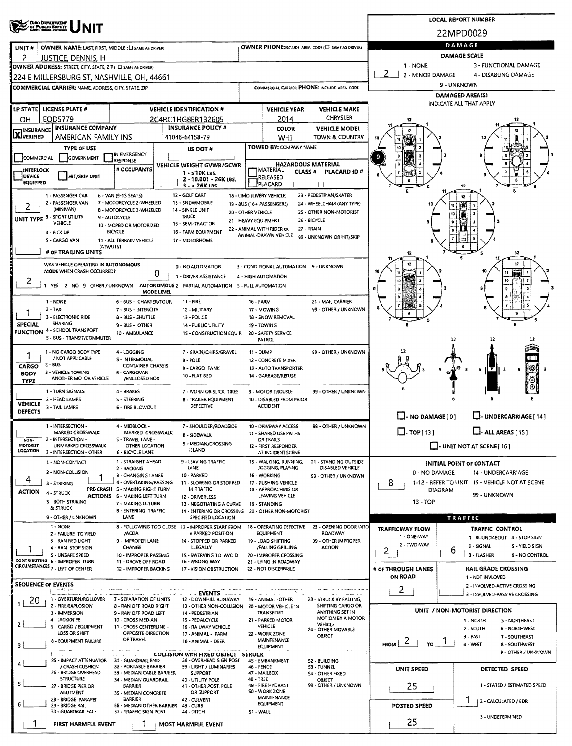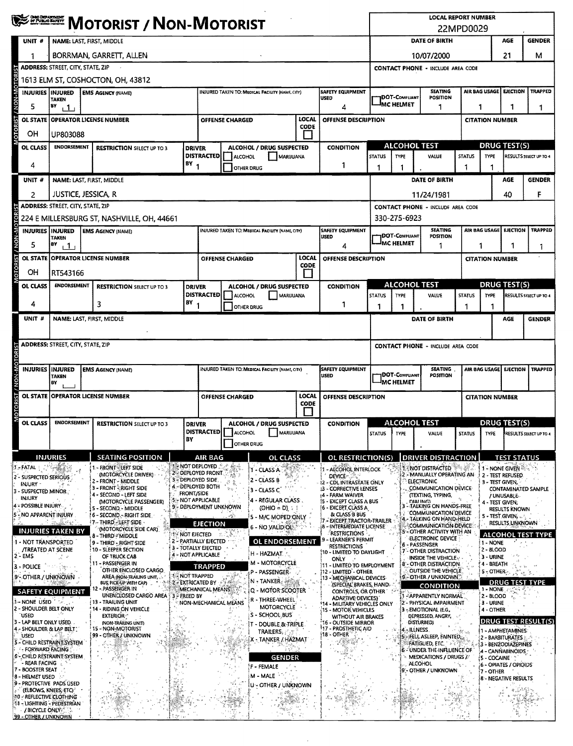|                                                                 | ONO DEPARTMENT<br><b>MOTORIST / NON-MOTORIST</b>                                                        |                                                                                                                       |                                                                                     |                   |                                                     |                                                                                               |                                                  |               | <b>LOCAL REPORT NUMBER</b><br>22MPD0029                                        |                                                                            |                                                                                |                                                                      |             |                                                                                 |                         |                                           |                                    |  |
|-----------------------------------------------------------------|---------------------------------------------------------------------------------------------------------|-----------------------------------------------------------------------------------------------------------------------|-------------------------------------------------------------------------------------|-------------------|-----------------------------------------------------|-----------------------------------------------------------------------------------------------|--------------------------------------------------|---------------|--------------------------------------------------------------------------------|----------------------------------------------------------------------------|--------------------------------------------------------------------------------|----------------------------------------------------------------------|-------------|---------------------------------------------------------------------------------|-------------------------|-------------------------------------------|------------------------------------|--|
| UNIT#                                                           | NAME: LAST, FIRST, MIDDLE                                                                               |                                                                                                                       |                                                                                     |                   |                                                     |                                                                                               |                                                  |               |                                                                                |                                                                            | DATE OF BIRTH                                                                  |                                                                      |             |                                                                                 | AGE                     | <b>GENDER</b>                             |                                    |  |
|                                                                 | BORRMAN, GARRETT, ALLEN                                                                                 |                                                                                                                       |                                                                                     |                   |                                                     |                                                                                               |                                                  |               |                                                                                |                                                                            | 21<br>10/07/2000                                                               |                                                                      |             |                                                                                 |                         |                                           | м                                  |  |
|                                                                 | ADDRESS: STREET, CITY, STATE, ZIP                                                                       |                                                                                                                       |                                                                                     |                   |                                                     |                                                                                               |                                                  |               |                                                                                | <b>CONTACT PHONE - INCLUDE AREA CODE</b>                                   |                                                                                |                                                                      |             |                                                                                 |                         |                                           |                                    |  |
| <b>AON-MOTOR</b>                                                | 1613 ELM ST, COSHOCTON, OH, 43812                                                                       |                                                                                                                       |                                                                                     |                   |                                                     |                                                                                               |                                                  |               |                                                                                |                                                                            | AIR BAG USAGE                                                                  |                                                                      |             |                                                                                 |                         |                                           |                                    |  |
|                                                                 | <b>INJURIES INJURED</b><br><b>TAKEN</b>                                                                 | <b>SAFETY EQUIPMENT</b><br><b>EMS AGENCY (NAME)</b><br><b>INJURED TAKEN TO: MEDICAL FACILITY (NAME, CITY)</b><br>USED |                                                                                     |                   |                                                     |                                                                                               |                                                  |               |                                                                                |                                                                            | <b>SEATING</b><br><b>IDOT-COMPLIANT</b><br><b>POSITION</b><br><b>MC HELMET</b> |                                                                      |             |                                                                                 |                         | <b>EJECTION</b>                           | <b>TRAPPED</b>                     |  |
| 5                                                               | 1                                                                                                       | BY<br>4                                                                                                               |                                                                                     |                   |                                                     |                                                                                               |                                                  |               |                                                                                |                                                                            | 1<br>1                                                                         |                                                                      |             |                                                                                 |                         | 1                                         |                                    |  |
| <b>MOTORIST</b><br><b>OL STATE</b>                              | LOCAL<br><b>OPERATOR LICENSE NUMBER</b><br><b>OFFENSE DESCRIPTION</b><br><b>OFFENSE CHARGED</b><br>CODE |                                                                                                                       |                                                                                     |                   |                                                     |                                                                                               |                                                  |               |                                                                                | <b>CITATION NUMBER</b>                                                     |                                                                                |                                                                      |             |                                                                                 |                         |                                           |                                    |  |
| OН                                                              | UP803088<br><b>ENDORSEMENT</b>                                                                          |                                                                                                                       |                                                                                     |                   |                                                     |                                                                                               |                                                  | $\mathbf{L}$  |                                                                                |                                                                            | <b>ALCOHOL TEST</b>                                                            |                                                                      |             |                                                                                 |                         | <b>DRUG TEST(S)</b>                       |                                    |  |
| OL CLASS                                                        |                                                                                                         |                                                                                                                       | <b>RESTRICTION SELECT UP TO 3</b>                                                   | <b>DRIVER</b>     | <b>DISTRACTED</b>                                   | ALCOHOL                                                                                       | ALCOHOL / DRUG SUSPECTED<br><b>MARUUANA</b>      |               | <b>CONDITION</b>                                                               | <b>STATUS</b>                                                              | <b>TYPE</b>                                                                    | VALUE                                                                |             | <b>STATUS</b>                                                                   | <b>TYPE</b>             |                                           | RESULTS SELECT UP TO 4             |  |
| 4                                                               |                                                                                                         |                                                                                                                       |                                                                                     | $BY_1$            |                                                     |                                                                                               | OTHER DRUG                                       |               | 1                                                                              | 1                                                                          | 1                                                                              |                                                                      |             |                                                                                 |                         |                                           |                                    |  |
| UNIT#                                                           |                                                                                                         |                                                                                                                       | NAME: LAST, FIRST, MIDDLE                                                           |                   |                                                     |                                                                                               |                                                  |               |                                                                                |                                                                            |                                                                                | DATE OF BIRTH                                                        |             |                                                                                 |                         | AGE                                       | <b>GENDER</b>                      |  |
| 2                                                               | JUSTICE, JESSICA, R                                                                                     |                                                                                                                       |                                                                                     |                   |                                                     |                                                                                               |                                                  |               |                                                                                | 11/24/1981<br>40<br>F                                                      |                                                                                |                                                                      |             |                                                                                 |                         |                                           |                                    |  |
|                                                                 | <b>ADDRESS: STREET, CITY, STATE, ZIP</b>                                                                |                                                                                                                       | 224 E MILLERSBURG ST, NASHVILLE, OH, 44661                                          |                   |                                                     |                                                                                               |                                                  |               |                                                                                |                                                                            | 330-275-6923                                                                   | <b>CONTACT PHONE - INCLUDE AREA CODE</b>                             |             |                                                                                 |                         |                                           |                                    |  |
|                                                                 | <b>INJURIES INJURED</b>                                                                                 |                                                                                                                       | <b>EMS AGENCY (NAME)</b>                                                            |                   |                                                     |                                                                                               | INJURED TAKEN TO: MEDICAL FACILITY (NAME, CITY)  |               | <b>SAFETY EQUIPMENT</b>                                                        |                                                                            |                                                                                | <b>SEATING</b>                                                       |             |                                                                                 |                         | AIR BAG USAGE EJECTION                    | <b>TRAPPED</b>                     |  |
| MOTORIST / NON-MOTORIST<br>5                                    | TAKEN<br>İBY<br>111                                                                                     |                                                                                                                       |                                                                                     |                   |                                                     |                                                                                               |                                                  |               | USED<br>4                                                                      |                                                                            | <b>DOT-COMPLIANT</b><br><b>IMC HELMET</b>                                      | <b>PDSITION</b><br>1                                                 |             | 1                                                                               |                         |                                           |                                    |  |
|                                                                 |                                                                                                         |                                                                                                                       | OL STATE OPERATOR LICENSE NUMBER                                                    |                   |                                                     | <b>OFFENSE CHARGED</b>                                                                        |                                                  | LOCAL         | OFFENSE DESCRIPTION                                                            |                                                                            |                                                                                |                                                                      |             | -1<br><b>CITATION NUMBER</b>                                                    |                         |                                           |                                    |  |
| OН                                                              | RT543166                                                                                                |                                                                                                                       |                                                                                     |                   |                                                     |                                                                                               |                                                  | CODE          |                                                                                |                                                                            |                                                                                |                                                                      |             |                                                                                 |                         |                                           |                                    |  |
| OL CLASS                                                        | <b>ENDORSEMENT</b>                                                                                      |                                                                                                                       | <b>RESTRICTION SELECT UP TO 3</b>                                                   | <b>DRIVER</b>     |                                                     |                                                                                               | ALCOHOL / DRUG SUSPECTED                         |               | <b>CONDITION</b>                                                               |                                                                            |                                                                                | <b>ALCOHOL TEST</b>                                                  |             |                                                                                 |                         | <b>DRUG TEST(S)</b>                       |                                    |  |
| 4                                                               |                                                                                                         |                                                                                                                       | 3                                                                                   | B٧                | <b>DISTRACTED</b>                                   | ALCOHOL                                                                                       | MARUUANA                                         |               | 1                                                                              | <b>STATUS</b>                                                              | <b>TYPE</b>                                                                    | VALUE                                                                |             | <b>STATUS</b>                                                                   | <b>TYPE</b>             |                                           | <b>RESULTS SELECT UP TO 4</b>      |  |
| UNIT #                                                          |                                                                                                         |                                                                                                                       | NAME: LAST, FIRST, MIDDLE                                                           |                   |                                                     |                                                                                               | <b>OTHER DRUG</b>                                |               |                                                                                | 1                                                                          | 1                                                                              | DATE OF BIRTH                                                        |             | 1                                                                               | 1                       | <b>AGE</b>                                | <b>GENDER</b>                      |  |
|                                                                 |                                                                                                         |                                                                                                                       |                                                                                     |                   |                                                     |                                                                                               |                                                  |               |                                                                                |                                                                            |                                                                                |                                                                      |             |                                                                                 |                         |                                           |                                    |  |
|                                                                 | <b>ADDRESS: STREET, CITY, STATE, ZIP</b>                                                                |                                                                                                                       |                                                                                     |                   |                                                     |                                                                                               |                                                  |               |                                                                                | <b>CONTACT PHONE - INCLUDE AREA CODE</b>                                   |                                                                                |                                                                      |             |                                                                                 |                         |                                           |                                    |  |
|                                                                 |                                                                                                         |                                                                                                                       |                                                                                     |                   |                                                     |                                                                                               |                                                  |               |                                                                                |                                                                            |                                                                                |                                                                      |             |                                                                                 |                         |                                           |                                    |  |
|                                                                 | <b>INJURIES INJURED</b><br>TAKEN                                                                        |                                                                                                                       | <b>EMS AGENCY (NAME)</b>                                                            |                   |                                                     |                                                                                               | INJURED TAKEN TO: MEDICAL FACILITY (NAME, CITY)  |               | <b>SAFETY EQUIPMENT</b><br><b>USED</b>                                         |                                                                            | <b>IDOT-COMPLIANT</b>                                                          | <b>SEATING</b><br>POSITION                                           |             | AIR BAG USAGE                                                                   |                         | <b>EJECTION</b>                           | <b>TRAPPED</b>                     |  |
|                                                                 | BY                                                                                                      |                                                                                                                       |                                                                                     |                   |                                                     |                                                                                               |                                                  |               |                                                                                |                                                                            | <b>I<sub>MC HELMET</sub></b>                                                   |                                                                      |             |                                                                                 |                         |                                           |                                    |  |
| MOTORIST / NON-MOTORIST<br><b>OL STATE</b>                      |                                                                                                         |                                                                                                                       | OPERATOR LICENSE NUMBER                                                             |                   |                                                     | <b>OFFENSE CHARGED</b>                                                                        |                                                  | LOCAL<br>CODE | OFFENSE DESCRIPTION                                                            |                                                                            |                                                                                |                                                                      |             | <b>CITATION NUMBER</b>                                                          |                         |                                           |                                    |  |
| OL CLASS                                                        | <b>ENDORSEMENT</b>                                                                                      |                                                                                                                       |                                                                                     |                   |                                                     |                                                                                               |                                                  |               |                                                                                |                                                                            | ALCOHOL TEST<br><b>DRUG TEST(S)</b>                                            |                                                                      |             |                                                                                 |                         |                                           |                                    |  |
|                                                                 |                                                                                                         |                                                                                                                       | <b>RESTRICTION SELECT UP TO 3</b>                                                   | <b>DRIVER</b>     |                                                     | <b>ALCOHOL / DRUG SUSPECTED</b><br><b>CONDITION</b><br><b>DISTRACTED</b> ALCOHOL<br>MARIJUANA |                                                  | <b>STATUS</b> | TYPE                                                                           | VALUE                                                                      |                                                                                | <b>STATUS</b>                                                        | <b>TYPE</b> |                                                                                 | RESULTS SELECT UP TO 4  |                                           |                                    |  |
|                                                                 |                                                                                                         |                                                                                                                       |                                                                                     | BΥ                |                                                     |                                                                                               | OTHER DRUG                                       |               |                                                                                |                                                                            |                                                                                |                                                                      |             |                                                                                 |                         |                                           |                                    |  |
|                                                                 | <b>INJURIES</b>                                                                                         |                                                                                                                       | <b>SEATING POSITION</b>                                                             |                   | AIR BAG<br><b>A NOT DEPLOYED</b>                    |                                                                                               | <b>OL CLASS</b>                                  |               | OL RESTRICTION(S)                                                              |                                                                            |                                                                                | <b>DRIVER DISTRACTION</b>                                            |             |                                                                                 |                         | <b>TEST STATUS</b>                        |                                    |  |
| 2 - SUSPECTED SERIOUS                                           |                                                                                                         |                                                                                                                       | 1 - FRONT - LEFT SIDE<br>(MOTORCYCLE DRIVER)<br>2 - FRONT - MIDDLE                  |                   | 2 - DEPLOYED FRONT<br>3 - DEPLOYED SIDE             |                                                                                               | 1 - CLASS A<br>2 - CLASS B                       |               | 1 - ALCOHOL INTERLOCK<br>DEVICE - C                                            |                                                                            |                                                                                | 1 - NOT DISTRACTED<br>2 - MANUALLY OPERATING AN<br><b>ELECTRONIC</b> |             |                                                                                 |                         | 1 - NONE GIVEN<br>2 - TEST REFUSED        |                                    |  |
| <b>INJURY -</b><br>3 - SUSPECTED MINOR                          |                                                                                                         |                                                                                                                       | <b>3 - FRONT RIGHT SIDE</b><br>4 - SECOND - LEFT SIDE                               | <b>FRONT/SIDE</b> | 4. DEPLOYED BOTH                                    |                                                                                               | 3 - CLASS C                                      |               | <b>12 - CDL INTRASTATE ONLY</b><br>13 - CORRECTIVE LENSES<br>14 - FARM WAIVER  | 3 - TEST GIVEN,<br>COMMUNICATION DEVICE<br>(TEXTING, TYPING,<br>/ UNUSABLE |                                                                                |                                                                      |             |                                                                                 | CONTAMINATED SAMPLE     |                                           |                                    |  |
| <b>INJURY</b><br>4 - POSSIBLE INJURY                            |                                                                                                         |                                                                                                                       | (MOTORCYCLE PASSENGER)<br>5 - SECOND - MIDDLE                                       |                   | <b>5:- NOT APPLICABLE</b><br>9 - DEPLOYMENT UNKNOWN |                                                                                               | 4 - REGULAR CLASS<br>$(OHIO = D)$ :              |               | 15 - EXCEPT CLASS A BUS<br>[6 - EXCERT, CLASS A                                | DIALING)<br>3 - TALKING ON HANDS-FREE                                      |                                                                                |                                                                      |             | 4 - TEST GIVEN;<br><b>RESULTS KNOWN</b>                                         |                         |                                           |                                    |  |
| - NO APPARENT INJURY                                            |                                                                                                         |                                                                                                                       | 6 - SECOND - RIGHT SIDE.<br>7 - THIRD - LEFT SIDE                                   |                   | <b>EJECTION</b>                                     | -5                                                                                            | 5 - M/C MOPED ONLY                               |               | & CLASS B BUS                                                                  | 7 - EXCEPT TRACTOR-TRAILER                                                 |                                                                                |                                                                      |             | <b>COMMUNICATION DEVICE</b><br>4 - TALKING ON HAND-HELD<br>COMMUNICATION DEVICE |                         |                                           | 5 - TEST GIVEN,<br>RESULTS UNKNOWN |  |
|                                                                 | <b>INJURIES TAKEN BY</b>                                                                                |                                                                                                                       | (MOTORCYCLE SIDE CAR)<br>8 - THIRD - MIDDLE                                         |                   | <b>IF NOT EIECTED</b>                               |                                                                                               | 6 - NO VALID OL:                                 |               | <b>B - INTERMEDIATE LICENSE</b><br><b>RESTRICTIONS</b><br>- LEARNER'S PERMIT   |                                                                            |                                                                                | S - OTHER ACTIVITY WITH AN<br>ELECTRONIC DEVICE                      |             |                                                                                 |                         |                                           | <b>ALCOHOL TEST TYPE</b>           |  |
| 1 - NOT TRANSPORTED                                             | <b>/TREATED AT SCENE</b>                                                                                |                                                                                                                       | 9 - THIRD - RIGHT SIDE<br>10 - SLEEPER SECTION                                      |                   | 2 - PARTIALLY EJECTED<br>3 - TOTALLY EJECTED        |                                                                                               | <b>OL ENDORSEMENT</b><br>H - HAZMAT. /           |               | <b>RESTRICTIONS</b><br>10 - LIMITED TO DAYLIGHT                                |                                                                            |                                                                                | <b>6 - PASSENGER</b><br>7 - OTHER DISTRACTION                        |             |                                                                                 | 1 - NONE<br>2 - 8LOOD   |                                           |                                    |  |
| $2 - EMS$<br>3 - POLICE                                         |                                                                                                         |                                                                                                                       | OF TRUCK CAB<br>- PASSENGER IN<br>91                                                |                   | 4 - NOT APPLICABLE<br><b>TRAPPED</b>                |                                                                                               | M - MOTORCYCLE                                   |               | <b>ONLY</b><br>11 - LIMITED TO EMPLOYMENT                                      |                                                                            |                                                                                | <b>INSIDE THE VEHICLE.</b><br>8 - OTHER DISTRACTION                  |             |                                                                                 | 3 - URINE<br>4 - BREATH |                                           |                                    |  |
| 9 - OTHER / UNKNOWN                                             |                                                                                                         |                                                                                                                       | OTHER ENCLOSED CARGO<br>AREA (NON-TRAILING UNIT,<br>BUS, PICK-UP WITH CAP)<br>-3-54 |                   | 1 - NOT TRAPPED<br><b>2 - EXTRICATED BY A TABLE</b> |                                                                                               | P - PASSENGER-<br>$N$ = TANKER $_{\odot}$        |               | 112 - LIMITED - OTHER<br>13 - MECHANICAL DEVICES                               |                                                                            |                                                                                | OUTSIDE THE VEHICLE<br>9 - OTHER / UNKNOWN                           |             |                                                                                 | 5-OTHER-                | <b>DRUG TEST TYPE</b>                     |                                    |  |
|                                                                 | <b>SAFETY EQUIPMENT</b>                                                                                 |                                                                                                                       | 12 - PASSENGER IN<br>UNENCLOSED CARGO AREA                                          | 3 FREED BY        | MECHANICAL MEANS                                    |                                                                                               | Q - MOTOR SCOOTER                                |               | (SPECIAL BRAKES, HAND<br><b>CONTROLS, OR OTHER 239</b>                         |                                                                            |                                                                                | <b>CONDITION</b><br>- APPARENTLY NORMAL                              |             |                                                                                 | 1 - NONE<br>2 - BLOOD   |                                           |                                    |  |
| 1 - NONE USED "<br>2 - SHOULDER BELT ONLY                       |                                                                                                         |                                                                                                                       | <b>13 - TRAILING UNIT</b><br>14 - RIDING ON VEHICLE                                 |                   |                                                     | NON-MECHANICAL MEANS                                                                          | R - THREE-WHEEL<br><b>MOTORCYCLE</b>             |               | <b>ADARTIVE DEVICES)</b><br>14 - MILITARY VEHICLES ONLY<br>15 - MOTOR VEHICLES |                                                                            |                                                                                | 2 - PHYSICAL IMPAIRMENT<br>3 - EMOTIONAL (E.G.                       |             |                                                                                 | 3 - URINE<br>4 - OTHER  |                                           |                                    |  |
| `used<br>3 - LAP BELT ONLY USED.                                |                                                                                                         |                                                                                                                       | <b>EXTERIOR</b><br>(NON-TRAILING UNIT)                                              |                   |                                                     |                                                                                               | S - SCHOOL BUS<br><b>T - DOUBLE &amp; TRIPLE</b> |               | WITHOUT AIR BRAKES<br>16 - OUTSIDE MIRROR                                      |                                                                            |                                                                                | DEPRESSED, ANGRY,<br>DISTURBED)                                      |             |                                                                                 |                         |                                           | <b>DRUG TEST RESULT(S)</b>         |  |
| 4 - SHOULDER & LAP BELT :<br>USED                               |                                                                                                         |                                                                                                                       | 15 - NON-MOTORIST<br>99 - OTHER / UNKNOWN                                           |                   |                                                     | 一分節                                                                                           | <b>TRAILERS,</b><br>X - TANKER / HAZMAT          |               | 17 - PROSTHETIC AID<br>18 - OTHER                                              |                                                                            |                                                                                | <b>ILLNESS</b><br>FELL ASLEEP, FAINTED.                              |             |                                                                                 |                         | 1 - AMPHETAMINES:<br>2 - BARBITURATES     |                                    |  |
| 5 - CHILD RESTRAINT SYSTEM<br>- FORWARD FACING                  |                                                                                                         |                                                                                                                       |                                                                                     |                   |                                                     |                                                                                               |                                                  |               | $\mathcal{L} \gg 1$                                                            |                                                                            |                                                                                | FATIGUED, ETC.<br>6 - UNDER THE INFLUENCE OF                         |             |                                                                                 |                         | 3 - BENZODIAZEPINES<br>4 - CANÑABINOIDS : |                                    |  |
| 6 - CHILD RESTRAINT SYSTEM<br>- REAR FACING                     |                                                                                                         |                                                                                                                       |                                                                                     |                   |                                                     |                                                                                               | <b>GENDER</b><br>F - FEMALE                      |               |                                                                                |                                                                            |                                                                                | <b>MEDICATIONS / DRUGS /</b><br><b>ALCOHOL</b>                       |             |                                                                                 | 5 - COCAINE             | 6 - OPIATES / OPIOIDS                     |                                    |  |
| 7 - BOOSTER SEAT<br>8 - HELMET USED<br>9 - PROTECTIVE PADS ÚSED |                                                                                                         |                                                                                                                       |                                                                                     |                   |                                                     |                                                                                               | M - MALE                                         |               |                                                                                |                                                                            |                                                                                | :- OTHER / UNKNOWN                                                   |             |                                                                                 | 7 - OTHER               | 8 - NEGATIVE RESULTS                      |                                    |  |
| <b>10 - REFLECTIVE CLOTHING</b>                                 | (ELBOWS, KNEES, ETC)                                                                                    |                                                                                                                       |                                                                                     |                   |                                                     |                                                                                               | U - OTHER / UNKNOWN                              |               |                                                                                |                                                                            |                                                                                |                                                                      |             |                                                                                 |                         |                                           |                                    |  |
| 11 - LIGHTING - PEDESTRIAN                                      | <b>/ BICYCLE ONLY:</b>                                                                                  |                                                                                                                       |                                                                                     |                   |                                                     |                                                                                               |                                                  |               |                                                                                |                                                                            |                                                                                |                                                                      |             |                                                                                 |                         |                                           |                                    |  |
| 99 - OTHER / UNKNOWN                                            |                                                                                                         |                                                                                                                       |                                                                                     |                   |                                                     |                                                                                               |                                                  |               |                                                                                |                                                                            |                                                                                |                                                                      |             |                                                                                 |                         |                                           |                                    |  |